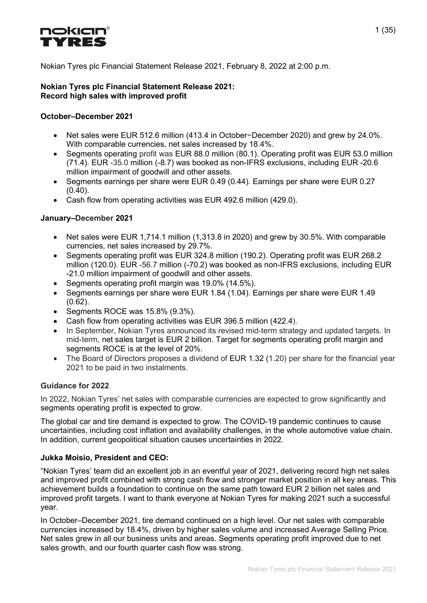

Nokian Tyres plc Financial Statement Release 2021, February 8, 2022 at 2:00 p.m.

#### Nokian Tyres plc Financial Statement Release 2021: Record high sales with improved profit

#### October–December 2021

- Net sales were EUR 512.6 million (413.4 in October−December 2020) and grew by 24.0%. With comparable currencies, net sales increased by 18.4%.
- Segments operating profit was EUR 88.0 million (80.1). Operating profit was EUR 53.0 million (71.4). EUR -35.0 million (-8.7) was booked as non-IFRS exclusions, including EUR -20.6 million impairment of goodwill and other assets.
- Segments earnings per share were EUR 0.49 (0.44). Earnings per share were EUR 0.27  $(0.40)$ .
- Cash flow from operating activities was EUR 492.6 million (429.0).

#### January–December 2021

- Net sales were EUR 1,714.1 million (1,313.8 in 2020) and grew by 30.5%. With comparable currencies, net sales increased by 29.7%.
- Segments operating profit was EUR 324.8 million (190.2). Operating profit was EUR 268.2 million (120.0). EUR -56.7 million (-70.2) was booked as non-IFRS exclusions, including EUR -21.0 million impairment of goodwill and other assets.
- Segments operating profit margin was 19.0% (14.5%).
- Segments earnings per share were EUR 1.84 (1.04). Earnings per share were EUR 1.49 (0.62).
- $\bullet$  Segments ROCE was 15.8% (9.3%).
- Cash flow from operating activities was EUR 396.5 million (422.4).
- In September, Nokian Tyres announced its revised mid-term strategy and updated targets. In mid-term, net sales target is EUR 2 billion. Target for segments operating profit margin and segments ROCE is at the level of 20%.
- The Board of Directors proposes a dividend of EUR 1.32 (1.20) per share for the financial year 2021 to be paid in two instalments.

#### Guidance for 2022

In 2022, Nokian Tyres' net sales with comparable currencies are expected to grow significantly and segments operating profit is expected to grow.

The global car and tire demand is expected to grow. The COVID-19 pandemic continues to cause uncertainties, including cost inflation and availability challenges, in the whole automotive value chain. In addition, current geopolitical situation causes uncertainties in 2022.

#### Jukka Moisio, President and CEO:

"Nokian Tyres' team did an excellent job in an eventful year of 2021, delivering record high net sales and improved profit combined with strong cash flow and stronger market position in all key areas. This achievement builds a foundation to continue on the same path toward EUR 2 billion net sales and improved profit targets. I want to thank everyone at Nokian Tyres for making 2021 such a successful year.

In October–December 2021, tire demand continued on a high level. Our net sales with comparable currencies increased by 18.4%, driven by higher sales volume and increased Average Selling Price. Net sales grew in all our business units and areas. Segments operating profit improved due to net sales growth, and our fourth quarter cash flow was strong.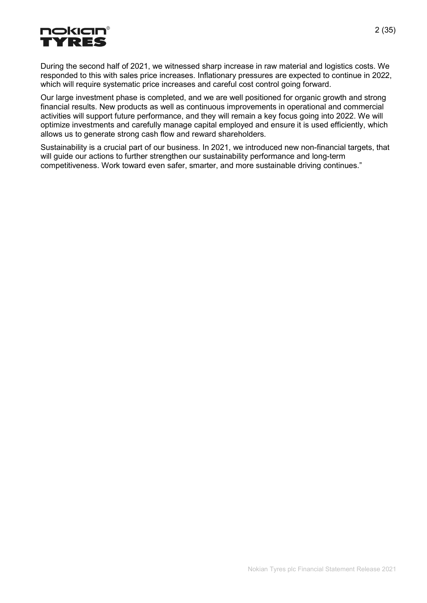

During the second half of 2021, we witnessed sharp increase in raw material and logistics costs. We responded to this with sales price increases. Inflationary pressures are expected to continue in 2022, which will require systematic price increases and careful cost control going forward.

Our large investment phase is completed, and we are well positioned for organic growth and strong financial results. New products as well as continuous improvements in operational and commercial activities will support future performance, and they will remain a key focus going into 2022. We will optimize investments and carefully manage capital employed and ensure it is used efficiently, which allows us to generate strong cash flow and reward shareholders.

Sustainability is a crucial part of our business. In 2021, we introduced new non-financial targets, that will guide our actions to further strengthen our sustainability performance and long-term competitiveness. Work toward even safer, smarter, and more sustainable driving continues."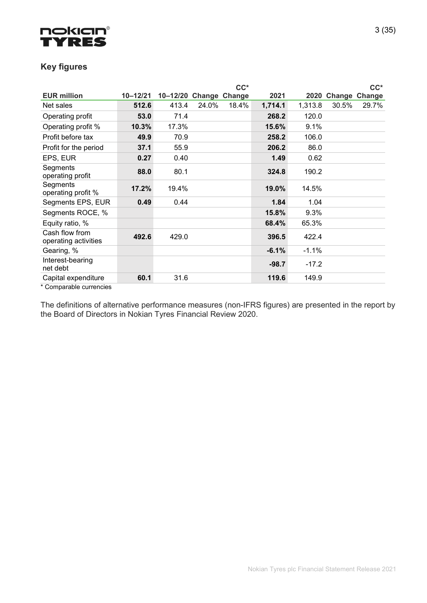

# Key figures

|                                                                               |              |                        |       | $CC^*$ |         |         |                    | $CC^*$ |
|-------------------------------------------------------------------------------|--------------|------------------------|-------|--------|---------|---------|--------------------|--------|
| <b>EUR million</b>                                                            | $10 - 12/21$ | 10-12/20 Change Change |       |        | 2021    |         | 2020 Change Change |        |
| Net sales                                                                     | 512.6        | 413.4                  | 24.0% | 18.4%  | 1,714.1 | 1,313.8 | 30.5%              | 29.7%  |
| Operating profit                                                              | 53.0         | 71.4                   |       |        | 268.2   | 120.0   |                    |        |
| Operating profit %                                                            | 10.3%        | 17.3%                  |       |        | 15.6%   | 9.1%    |                    |        |
| Profit before tax                                                             | 49.9         | 70.9                   |       |        | 258.2   | 106.0   |                    |        |
| Profit for the period                                                         | 37.1         | 55.9                   |       |        | 206.2   | 86.0    |                    |        |
| EPS, EUR                                                                      | 0.27         | 0.40                   |       |        | 1.49    | 0.62    |                    |        |
| Segments<br>operating profit                                                  | 88.0         | 80.1                   |       |        | 324.8   | 190.2   |                    |        |
| Segments<br>operating profit %                                                | 17.2%        | 19.4%                  |       |        | 19.0%   | 14.5%   |                    |        |
| Segments EPS, EUR                                                             | 0.49         | 0.44                   |       |        | 1.84    | 1.04    |                    |        |
| Segments ROCE, %                                                              |              |                        |       |        | 15.8%   | 9.3%    |                    |        |
| Equity ratio, %                                                               |              |                        |       |        | 68.4%   | 65.3%   |                    |        |
| Cash flow from<br>operating activities                                        | 492.6        | 429.0                  |       |        | 396.5   | 422.4   |                    |        |
| Gearing, %                                                                    |              |                        |       |        | $-6.1%$ | $-1.1%$ |                    |        |
| Interest-bearing<br>net debt                                                  |              |                        |       |        | $-98.7$ | $-17.2$ |                    |        |
| Capital expenditure<br>$\star$ $\cap$ a see a seal of a consequent of $\star$ | 60.1         | 31.6                   |       |        | 119.6   | 149.9   |                    |        |

Comparable currencies

The definitions of alternative performance measures (non-IFRS figures) are presented in the report by the Board of Directors in Nokian Tyres Financial Review 2020.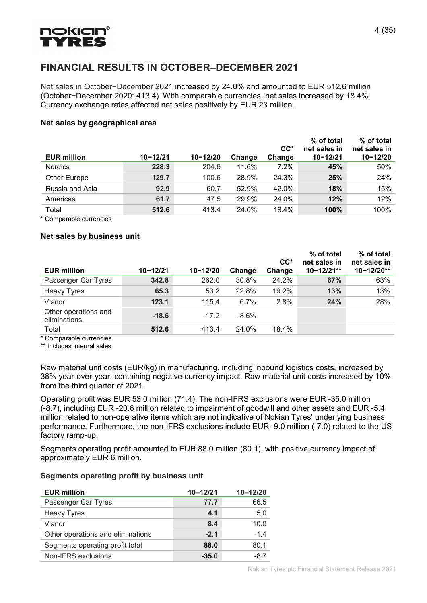# **nokian®** YRE

# FINANCIAL RESULTS IN OCTOBER–DECEMBER 2021

Net sales in October−December 2021 increased by 24.0% and amounted to EUR 512.6 million (October−December 2020: 413.4). With comparable currencies, net sales increased by 18.4%. Currency exchange rates affected net sales positively by EUR 23 million.

#### Net sales by geographical area

| <b>EUR million</b> | $10 - 12/21$ | $10 - 12/20$ | Change | $CC^*$<br>Change | % of total<br>net sales in<br>$10 - 12/21$ | % of total<br>net sales in<br>$10 - 12/20$ |
|--------------------|--------------|--------------|--------|------------------|--------------------------------------------|--------------------------------------------|
| <b>Nordics</b>     | 228.3        | 204.6        | 11.6%  | $7.2\%$          | 45%                                        | 50%                                        |
| Other Europe       | 129.7        | 100.6        | 28.9%  | 24.3%            | 25%                                        | 24%                                        |
| Russia and Asia    | 92.9         | 60.7         | 52.9%  | 42.0%            | 18%                                        | 15%                                        |
| Americas           | 61.7         | 47.5         | 29.9%  | 24.0%            | 12%                                        | 12%                                        |
| Total              | 512.6        | 413.4        | 24.0%  | 18.4%            | 100%                                       | 100%                                       |

\* Comparable currencies

#### Net sales by business unit

|                                      |              |              |         | $CC^*$ | % of total<br>net sales in | % of total<br>net sales in |
|--------------------------------------|--------------|--------------|---------|--------|----------------------------|----------------------------|
| <b>EUR million</b>                   | $10 - 12/21$ | $10 - 12/20$ | Change  | Change | $10 - 12/21**$             | 10-12/20**                 |
| Passenger Car Tyres                  | 342.8        | 262.0        | 30.8%   | 24.2%  | 67%                        | 63%                        |
| <b>Heavy Tyres</b>                   | 65.3         | 53.2         | 22.8%   | 19.2%  | 13%                        | 13%                        |
| Vianor                               | 123.1        | 115.4        | 6.7%    | 2.8%   | 24%                        | 28%                        |
| Other operations and<br>eliminations | $-18.6$      | $-17.2$      | $-8.6%$ |        |                            |                            |
| Total<br>.                           | 512.6        | 413.4        | 24.0%   | 18.4%  |                            |                            |

\* Comparable currencies

\*\* Includes internal sales

Raw material unit costs (EUR/kg) in manufacturing, including inbound logistics costs, increased by 38% year-over-year, containing negative currency impact. Raw material unit costs increased by 10% from the third quarter of 2021.

Operating profit was EUR 53.0 million (71.4). The non-IFRS exclusions were EUR -35.0 million (-8.7), including EUR -20.6 million related to impairment of goodwill and other assets and EUR -5.4 million related to non-operative items which are not indicative of Nokian Tyres' underlying business performance. Furthermore, the non-IFRS exclusions include EUR -9.0 million (-7.0) related to the US factory ramp-up.

Segments operating profit amounted to EUR 88.0 million (80.1), with positive currency impact of approximately EUR 6 million.

#### Segments operating profit by business unit

| <b>EUR million</b>                | $10 - 12/21$ | $10 - 12/20$ |
|-----------------------------------|--------------|--------------|
| Passenger Car Tyres               | 77.7         | 66.5         |
| <b>Heavy Tyres</b>                | 4.1          | 5.0          |
| Vianor                            | 8.4          | 10.0         |
| Other operations and eliminations | $-2.1$       | $-1.4$       |
| Segments operating profit total   | 88.0         | 80.1         |
| Non-IFRS exclusions               | $-35.0$      | $-8.7$       |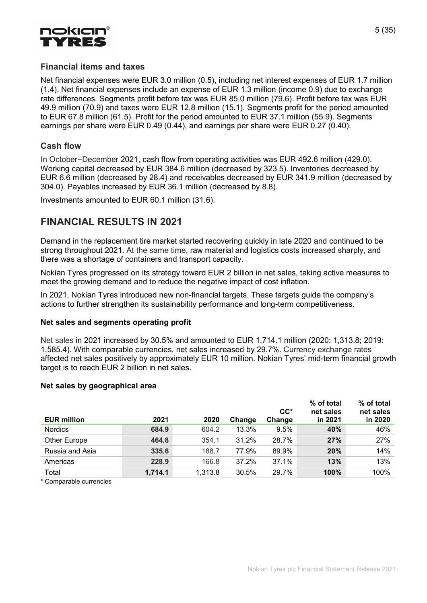

## Financial items and taxes

Net financial expenses were EUR 3.0 million (0.5), including net interest expenses of EUR 1.7 million (1.4). Net financial expenses include an expense of EUR 1.3 million (income 0.9) due to exchange rate differences. Segments profit before tax was EUR 85.0 million (79.6). Profit before tax was EUR 49.9 million (70.9) and taxes were EUR 12.8 million (15.1). Segments profit for the period amounted to EUR 67.8 million (61.5). Profit for the period amounted to EUR 37.1 million (55.9). Segments earnings per share were EUR 0.49 (0.44), and earnings per share were EUR 0.27 (0.40).

## Cash flow

In October−December 2021, cash flow from operating activities was EUR 492.6 million (429.0). Working capital decreased by EUR 384.6 million (decreased by 323.5). Inventories decreased by EUR 6.6 million (decreased by 28.4) and receivables decreased by EUR 341.9 million (decreased by 304.0). Payables increased by EUR 36.1 million (decreased by 8.8).

Investments amounted to EUR 60.1 million (31.6).

# FINANCIAL RESULTS IN 2021

Demand in the replacement tire market started recovering quickly in late 2020 and continued to be strong throughout 2021. At the same time, raw material and logistics costs increased sharply, and there was a shortage of containers and transport capacity.

Nokian Tyres progressed on its strategy toward EUR 2 billion in net sales, taking active measures to meet the growing demand and to reduce the negative impact of cost inflation.

In 2021, Nokian Tyres introduced new non-financial targets. These targets guide the company's actions to further strengthen its sustainability performance and long-term competitiveness.

#### Net sales and segments operating profit

Net sales in 2021 increased by 30.5% and amounted to EUR 1,714.1 million (2020: 1,313.8; 2019: 1,585.4). With comparable currencies, net sales increased by 29.7%. Currency exchange rates affected net sales positively by approximately EUR 10 million. Nokian Tyres' mid-term financial growth target is to reach EUR 2 billion in net sales.

#### Net sales by geographical area

| <b>EUR million</b> | 2021    | 2020    | Change | $CC^*$<br>Change | % of total<br>net sales<br>in 2021 | % of total<br>net sales<br>in 2020 |
|--------------------|---------|---------|--------|------------------|------------------------------------|------------------------------------|
| <b>Nordics</b>     | 684.9   | 604.2   | 13.3%  | 9.5%             | 40%                                | 46%                                |
| Other Europe       | 464.8   | 354.1   | 31.2%  | 28.7%            | 27%                                | 27%                                |
| Russia and Asia    | 335.6   | 188.7   | 77.9%  | 89.9%            | 20%                                | 14%                                |
| Americas           | 228.9   | 166.8   | 37.2%  | 37.1%            | 13%                                | 13%                                |
| Total              | 1,714.1 | 1,313.8 | 30.5%  | 29.7%            | 100%                               | 100%                               |

\* Comparable currencies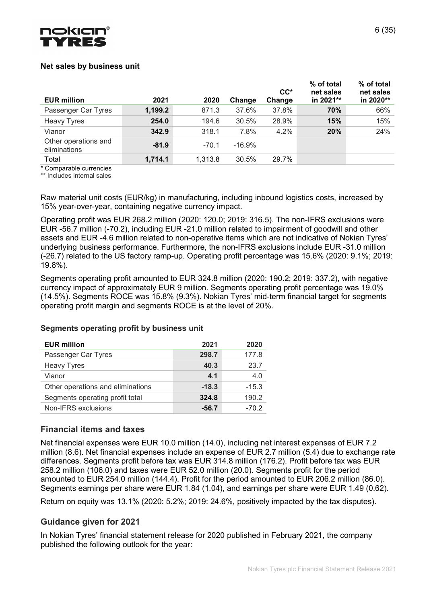

#### Net sales by business unit

| <b>EUR million</b>                   | 2021    | 2020    | Change   | $CC^*$<br>Change | % of total<br>net sales<br>in 2021** | % of total<br>net sales<br>in 2020** |
|--------------------------------------|---------|---------|----------|------------------|--------------------------------------|--------------------------------------|
| Passenger Car Tyres                  | 1,199.2 | 871.3   | 37.6%    | 37.8%            | 70%                                  | 66%                                  |
| <b>Heavy Tyres</b>                   | 254.0   | 194.6   | 30.5%    | 28.9%            | 15%                                  | 15%                                  |
| Vianor                               | 342.9   | 318.1   | 7.8%     | 4.2%             | 20%                                  | 24%                                  |
| Other operations and<br>eliminations | $-81.9$ | $-70.1$ | $-16.9%$ |                  |                                      |                                      |
| Total                                | 1,714.1 | 1,313.8 | 30.5%    | 29.7%            |                                      |                                      |

\* Comparable currencies

\*\* Includes internal sales

Raw material unit costs (EUR/kg) in manufacturing, including inbound logistics costs, increased by 15% year-over-year, containing negative currency impact.

Operating profit was EUR 268.2 million (2020: 120.0; 2019: 316.5). The non-IFRS exclusions were EUR -56.7 million (-70.2), including EUR -21.0 million related to impairment of goodwill and other assets and EUR -4.6 million related to non-operative items which are not indicative of Nokian Tyres' underlying business performance. Furthermore, the non-IFRS exclusions include EUR -31.0 million (-26.7) related to the US factory ramp-up. Operating profit percentage was 15.6% (2020: 9.1%; 2019: 19.8%).

Segments operating profit amounted to EUR 324.8 million (2020: 190.2; 2019: 337.2), with negative currency impact of approximately EUR 9 million. Segments operating profit percentage was 19.0% (14.5%). Segments ROCE was 15.8% (9.3%). Nokian Tyres' mid-term financial target for segments operating profit margin and segments ROCE is at the level of 20%.

| <b>EUR million</b>                | 2021    | 2020    |
|-----------------------------------|---------|---------|
| Passenger Car Tyres               | 298.7   | 177.8   |
| <b>Heavy Tyres</b>                | 40.3    | 23.7    |
| Vianor                            | 4.1     | 4.0     |
| Other operations and eliminations | $-18.3$ | $-15.3$ |
| Segments operating profit total   | 324.8   | 190.2   |
| Non-IFRS exclusions               | -56.7   | $-70.2$ |

#### Segments operating profit by business unit

#### Financial items and taxes

Net financial expenses were EUR 10.0 million (14.0), including net interest expenses of EUR 7.2 million (8.6). Net financial expenses include an expense of EUR 2.7 million (5.4) due to exchange rate differences. Segments profit before tax was EUR 314.8 million (176.2). Profit before tax was EUR 258.2 million (106.0) and taxes were EUR 52.0 million (20.0). Segments profit for the period amounted to EUR 254.0 million (144.4). Profit for the period amounted to EUR 206.2 million (86.0). Segments earnings per share were EUR 1.84 (1.04), and earnings per share were EUR 1.49 (0.62).

Return on equity was 13.1% (2020: 5.2%; 2019: 24.6%, positively impacted by the tax disputes).

#### Guidance given for 2021

In Nokian Tyres' financial statement release for 2020 published in February 2021, the company published the following outlook for the year: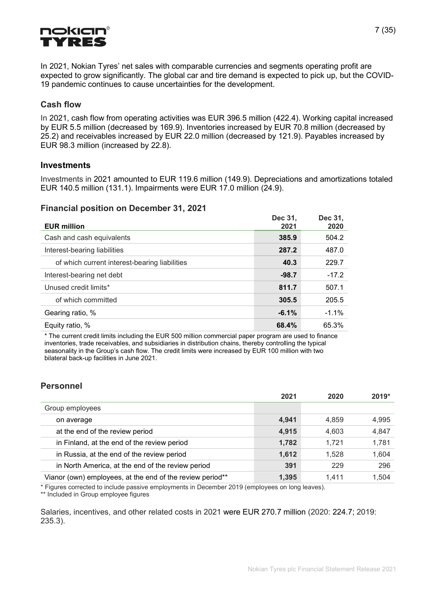

In 2021, Nokian Tyres' net sales with comparable currencies and segments operating profit are expected to grow significantly. The global car and tire demand is expected to pick up, but the COVID-19 pandemic continues to cause uncertainties for the development.

### Cash flow

In 2021, cash flow from operating activities was EUR 396.5 million (422.4). Working capital increased by EUR 5.5 million (decreased by 169.9). Inventories increased by EUR 70.8 million (decreased by 25.2) and receivables increased by EUR 22.0 million (decreased by 121.9). Payables increased by EUR 98.3 million (increased by 22.8).

#### **Investments**

Investments in 2021 amounted to EUR 119.6 million (149.9). Depreciations and amortizations totaled EUR 140.5 million (131.1). Impairments were EUR 17.0 million (24.9).

#### Financial position on December 31, 2021

| <b>EUR million</b>                            | Dec 31,<br>2021 | Dec 31,<br>2020 |
|-----------------------------------------------|-----------------|-----------------|
| Cash and cash equivalents                     | 385.9           | 504.2           |
| Interest-bearing liabilities                  | 287.2           | 487.0           |
| of which current interest-bearing liabilities | 40.3            | 229.7           |
| Interest-bearing net debt                     | $-98.7$         | $-17.2$         |
| Unused credit limits*                         | 811.7           | 507.1           |
| of which committed                            | 305.5           | 205.5           |
| Gearing ratio, %                              | $-6.1%$         | $-1.1\%$        |
| Equity ratio, %                               | 68.4%           | 65.3%           |

\* The current credit limits including the EUR 500 million commercial paper program are used to finance inventories, trade receivables, and subsidiaries in distribution chains, thereby controlling the typical seasonality in the Group's cash flow. The credit limits were increased by EUR 100 million with two bilateral back-up facilities in June 2021.

# Personnel

|                                                           | 2021  | 2020  | $2019*$ |
|-----------------------------------------------------------|-------|-------|---------|
| Group employees                                           |       |       |         |
| on average                                                | 4,941 | 4,859 | 4,995   |
| at the end of the review period                           | 4,915 | 4,603 | 4,847   |
| in Finland, at the end of the review period               | 1,782 | 1,721 | 1,781   |
| in Russia, at the end of the review period                | 1,612 | 1,528 | 1,604   |
| in North America, at the end of the review period         | 391   | 229   | 296     |
| Vianor (own) employees, at the end of the review period** | 1,395 | 1.411 | 1.504   |

\* Figures corrected to include passive employments in December 2019 (employees on long leaves).

\*\* Included in Group employee figures

Salaries, incentives, and other related costs in 2021 were EUR 270.7 million (2020: 224.7; 2019: 235.3).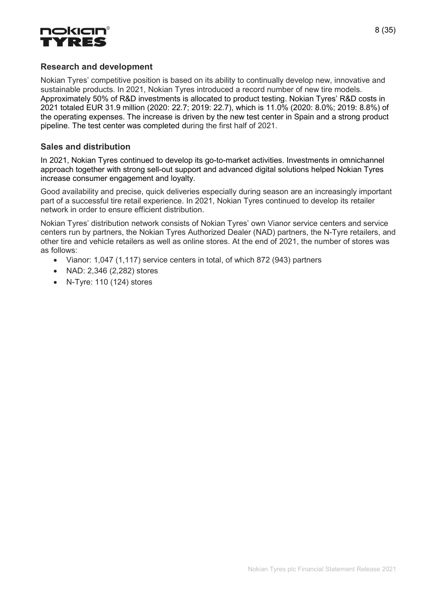

## Research and development

Nokian Tyres' competitive position is based on its ability to continually develop new, innovative and sustainable products. In 2021, Nokian Tyres introduced a record number of new tire models. Approximately 50% of R&D investments is allocated to product testing. Nokian Tyres' R&D costs in 2021 totaled EUR 31.9 million (2020: 22.7; 2019: 22.7), which is 11.0% (2020: 8.0%; 2019: 8.8%) of the operating expenses. The increase is driven by the new test center in Spain and a strong product pipeline. The test center was completed during the first half of 2021.

## Sales and distribution

In 2021, Nokian Tyres continued to develop its go-to-market activities. Investments in omnichannel approach together with strong sell-out support and advanced digital solutions helped Nokian Tyres increase consumer engagement and loyalty.

Good availability and precise, quick deliveries especially during season are an increasingly important part of a successful tire retail experience. In 2021, Nokian Tyres continued to develop its retailer network in order to ensure efficient distribution.

Nokian Tyres' distribution network consists of Nokian Tyres' own Vianor service centers and service centers run by partners, the Nokian Tyres Authorized Dealer (NAD) partners, the N-Tyre retailers, and other tire and vehicle retailers as well as online stores. At the end of 2021, the number of stores was as follows:

- Vianor: 1,047 (1,117) service centers in total, of which 872 (943) partners
- NAD: 2,346 (2,282) stores
- N-Tyre: 110 (124) stores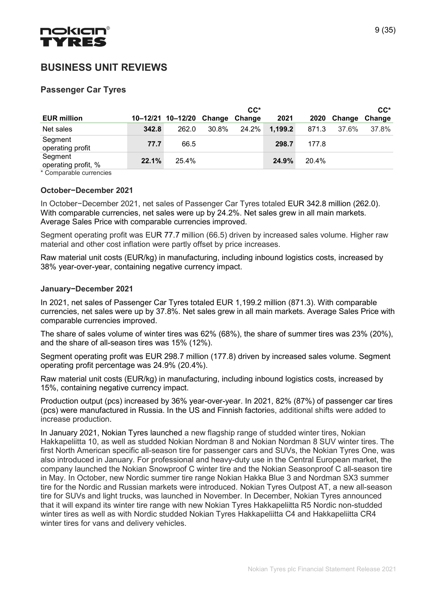

# BUSINESS UNIT REVIEWS

# Passenger Car Tyres

|                                |       |                                 |       | $CC^*$ |         |       |             | $CC^*$ |
|--------------------------------|-------|---------------------------------|-------|--------|---------|-------|-------------|--------|
| <b>EUR million</b>             |       | 10-12/21 10-12/20 Change Change |       |        | 2021    |       | 2020 Change | Change |
| Net sales                      | 342.8 | 262.0                           | 30.8% | 24.2%  | 1,199.2 | 871.3 | 37.6%       | 37.8%  |
| Segment<br>operating profit    | 77.7  | 66.5                            |       |        | 298.7   | 177.8 |             |        |
| Segment<br>operating profit, % | 22.1% | 25.4%                           |       |        | 24.9%   | 20.4% |             |        |

\* Comparable currencies

#### October−December 2021

In October−December 2021, net sales of Passenger Car Tyres totaled EUR 342.8 million (262.0). With comparable currencies, net sales were up by 24.2%. Net sales grew in all main markets. Average Sales Price with comparable currencies improved.

Segment operating profit was EUR 77.7 million (66.5) driven by increased sales volume. Higher raw material and other cost inflation were partly offset by price increases.

Raw material unit costs (EUR/kg) in manufacturing, including inbound logistics costs, increased by 38% year-over-year, containing negative currency impact.

#### January−December 2021

In 2021, net sales of Passenger Car Tyres totaled EUR 1,199.2 million (871.3). With comparable currencies, net sales were up by 37.8%. Net sales grew in all main markets. Average Sales Price with comparable currencies improved.

The share of sales volume of winter tires was 62% (68%), the share of summer tires was 23% (20%), and the share of all-season tires was 15% (12%).

Segment operating profit was EUR 298.7 million (177.8) driven by increased sales volume. Segment operating profit percentage was 24.9% (20.4%).

Raw material unit costs (EUR/kg) in manufacturing, including inbound logistics costs, increased by 15%, containing negative currency impact.

Production output (pcs) increased by 36% year-over-year. In 2021, 82% (87%) of passenger car tires (pcs) were manufactured in Russia. In the US and Finnish factories, additional shifts were added to increase production.

In January 2021, Nokian Tyres launched a new flagship range of studded winter tires, Nokian Hakkapeliitta 10, as well as studded Nokian Nordman 8 and Nokian Nordman 8 SUV winter tires. The first North American specific all-season tire for passenger cars and SUVs, the Nokian Tyres One, was also introduced in January. For professional and heavy-duty use in the Central European market, the company launched the Nokian Snowproof C winter tire and the Nokian Seasonproof C all-season tire in May. In October, new Nordic summer tire range Nokian Hakka Blue 3 and Nordman SX3 summer tire for the Nordic and Russian markets were introduced. Nokian Tyres Outpost AT, a new all-season tire for SUVs and light trucks, was launched in November. In December, Nokian Tyres announced that it will expand its winter tire range with new Nokian Tyres Hakkapeliitta R5 Nordic non-studded winter tires as well as with Nordic studded Nokian Tyres Hakkapeliitta C4 and Hakkapeliitta CR4 winter tires for vans and delivery vehicles.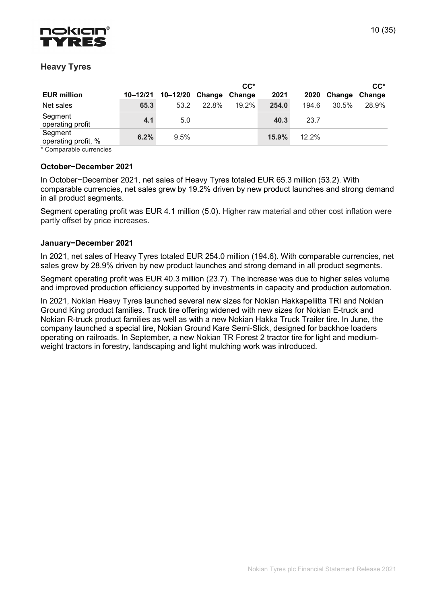

# Heavy Tyres

|                                |      |                                 |       | $CC^*$ |       |       |                      | $CC^*$ |
|--------------------------------|------|---------------------------------|-------|--------|-------|-------|----------------------|--------|
| <b>EUR million</b>             |      | 10-12/21 10-12/20 Change Change |       |        | 2021  | 2020  | <b>Change Change</b> |        |
| Net sales                      | 65.3 | 53.2                            | 22.8% | 19.2%  | 254.0 | 194.6 | 30.5%                | 28.9%  |
| Segment<br>operating profit    | 4.1  | 5.0                             |       |        | 40.3  | 23.7  |                      |        |
| Segment<br>operating profit, % | 6.2% | 9.5%                            |       |        | 15.9% | 12.2% |                      |        |

\* Comparable currencies

#### October−December 2021

In October−December 2021, net sales of Heavy Tyres totaled EUR 65.3 million (53.2). With comparable currencies, net sales grew by 19.2% driven by new product launches and strong demand in all product segments.

Segment operating profit was EUR 4.1 million (5.0). Higher raw material and other cost inflation were partly offset by price increases.

#### January−December 2021

In 2021, net sales of Heavy Tyres totaled EUR 254.0 million (194.6). With comparable currencies, net sales grew by 28.9% driven by new product launches and strong demand in all product segments.

Segment operating profit was EUR 40.3 million (23.7). The increase was due to higher sales volume and improved production efficiency supported by investments in capacity and production automation.

In 2021, Nokian Heavy Tyres launched several new sizes for Nokian Hakkapeliitta TRI and Nokian Ground King product families. Truck tire offering widened with new sizes for Nokian E-truck and Nokian R-truck product families as well as with a new Nokian Hakka Truck Trailer tire. In June, the company launched a special tire, Nokian Ground Kare Semi-Slick, designed for backhoe loaders operating on railroads. In September, a new Nokian TR Forest 2 tractor tire for light and mediumweight tractors in forestry, landscaping and light mulching work was introduced.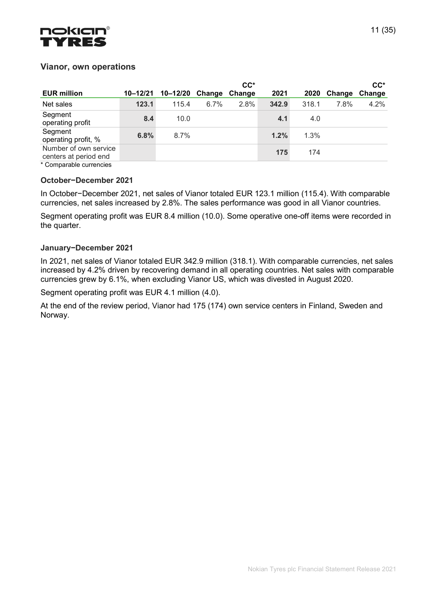

## Vianor, own operations

|                                                |       |                                 |      | $CC^*$ |       |       |        | $CC^*$ |
|------------------------------------------------|-------|---------------------------------|------|--------|-------|-------|--------|--------|
| <b>EUR million</b>                             |       | 10-12/21 10-12/20 Change Change |      |        | 2021  | 2020  | Change | Change |
| Net sales                                      | 123.1 | 115.4                           | 6.7% | 2.8%   | 342.9 | 318.1 | 7.8%   | 4.2%   |
| Segment<br>operating profit                    | 8.4   | 10.0                            |      |        | 4.1   | 4.0   |        |        |
| Segment<br>operating profit, %                 | 6.8%  | 8.7%                            |      |        | 1.2%  | 1.3%  |        |        |
| Number of own service<br>centers at period end |       |                                 |      |        | 175   | 174   |        |        |

\* Comparable currencies

#### October−December 2021

In October−December 2021, net sales of Vianor totaled EUR 123.1 million (115.4). With comparable currencies, net sales increased by 2.8%. The sales performance was good in all Vianor countries.

Segment operating profit was EUR 8.4 million (10.0). Some operative one-off items were recorded in the quarter.

#### January−December 2021

In 2021, net sales of Vianor totaled EUR 342.9 million (318.1). With comparable currencies, net sales increased by 4.2% driven by recovering demand in all operating countries. Net sales with comparable currencies grew by 6.1%, when excluding Vianor US, which was divested in August 2020.

Segment operating profit was EUR 4.1 million (4.0).

At the end of the review period, Vianor had 175 (174) own service centers in Finland, Sweden and Norway.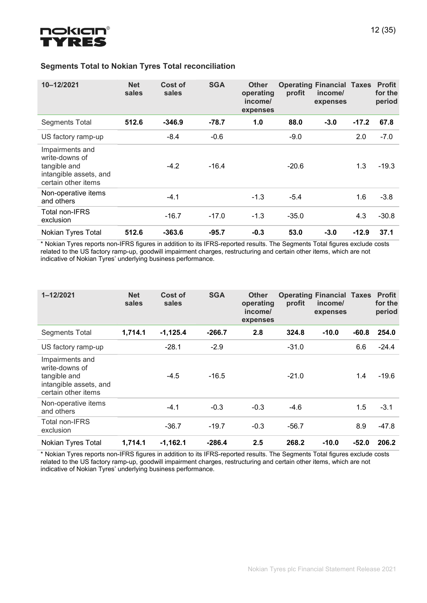

| 10-12/2021                                                                                         | <b>Net</b><br>sales | Cost of<br>sales | <b>SGA</b> | <b>Other</b><br>operating<br>income/<br>expenses | profit  | <b>Operating Financial Taxes</b><br>income/<br>expenses |         | <b>Profit</b><br>for the<br>period |
|----------------------------------------------------------------------------------------------------|---------------------|------------------|------------|--------------------------------------------------|---------|---------------------------------------------------------|---------|------------------------------------|
| <b>Segments Total</b>                                                                              | 512.6               | $-346.9$         | $-78.7$    | 1.0                                              | 88.0    | $-3.0$                                                  | $-17.2$ | 67.8                               |
| US factory ramp-up                                                                                 |                     | $-8.4$           | $-0.6$     |                                                  | $-9.0$  |                                                         | 2.0     | $-7.0$                             |
| Impairments and<br>write-downs of<br>tangible and<br>intangible assets, and<br>certain other items |                     | $-4.2$           | $-16.4$    |                                                  | $-20.6$ |                                                         | 1.3     | $-19.3$                            |
| Non-operative items<br>and others                                                                  |                     | $-4.1$           |            | $-1.3$                                           | $-5.4$  |                                                         | 1.6     | $-3.8$                             |
| Total non-IFRS<br>exclusion                                                                        |                     | $-16.7$          | $-17.0$    | $-1.3$                                           | $-35.0$ |                                                         | 4.3     | $-30.8$                            |
| Nokian Tyres Total                                                                                 | 512.6               | $-363.6$         | $-95.7$    | $-0.3$                                           | 53.0    | $-3.0$                                                  | $-12.9$ | 37.1                               |

## Segments Total to Nokian Tyres Total reconciliation

\* Nokian Tyres reports non-IFRS figures in addition to its IFRS-reported results. The Segments Total figures exclude costs related to the US factory ramp-up, goodwill impairment charges, restructuring and certain other items, which are not indicative of Nokian Tyres' underlying business performance.

| 1-12/2021                                                                                          | <b>Net</b><br>sales | Cost of<br>sales | <b>SGA</b> | <b>Other</b><br>operating<br>income/<br>expenses | profit  | <b>Operating Financial Taxes</b><br>income/<br>expenses |         | <b>Profit</b><br>for the<br>period |
|----------------------------------------------------------------------------------------------------|---------------------|------------------|------------|--------------------------------------------------|---------|---------------------------------------------------------|---------|------------------------------------|
| <b>Segments Total</b>                                                                              | 1,714.1             | $-1,125.4$       | $-266.7$   | 2.8                                              | 324.8   | $-10.0$                                                 | $-60.8$ | 254.0                              |
| US factory ramp-up                                                                                 |                     | $-28.1$          | $-2.9$     |                                                  | $-31.0$ |                                                         | 6.6     | $-24.4$                            |
| Impairments and<br>write-downs of<br>tangible and<br>intangible assets, and<br>certain other items |                     | $-4.5$           | $-16.5$    |                                                  | $-21.0$ |                                                         | 1.4     | $-19.6$                            |
| Non-operative items<br>and others                                                                  |                     | $-4.1$           | $-0.3$     | $-0.3$                                           | $-4.6$  |                                                         | 1.5     | $-3.1$                             |
| Total non-IFRS<br>exclusion                                                                        |                     | $-36.7$          | $-19.7$    | $-0.3$                                           | $-56.7$ |                                                         | 8.9     | $-47.8$                            |
| Nokian Tyres Total                                                                                 | 1,714.1             | $-1,162.1$       | $-286.4$   | 2.5                                              | 268.2   | $-10.0$                                                 | $-52.0$ | 206.2                              |

\* Nokian Tyres reports non-IFRS figures in addition to its IFRS-reported results. The Segments Total figures exclude costs related to the US factory ramp-up, goodwill impairment charges, restructuring and certain other items, which are not indicative of Nokian Tyres' underlying business performance.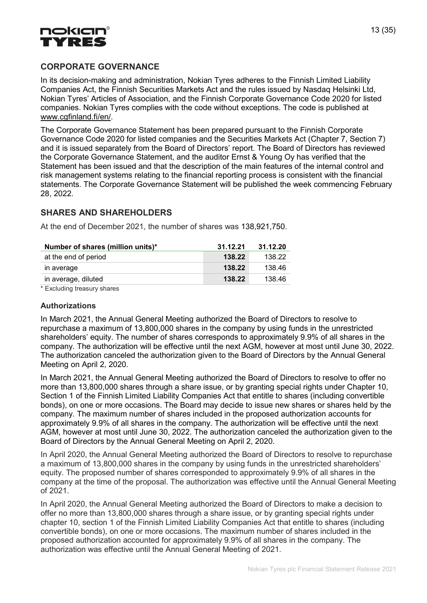

# CORPORATE GOVERNANCE

In its decision-making and administration, Nokian Tyres adheres to the Finnish Limited Liability Companies Act, the Finnish Securities Markets Act and the rules issued by Nasdaq Helsinki Ltd, Nokian Tyres' Articles of Association, and the Finnish Corporate Governance Code 2020 for listed companies. Nokian Tyres complies with the code without exceptions. The code is published at www.cgfinland.fi/en/.

The Corporate Governance Statement has been prepared pursuant to the Finnish Corporate Governance Code 2020 for listed companies and the Securities Markets Act (Chapter 7, Section 7) and it is issued separately from the Board of Directors' report. The Board of Directors has reviewed the Corporate Governance Statement, and the auditor Ernst & Young Oy has verified that the Statement has been issued and that the description of the main features of the internal control and risk management systems relating to the financial reporting process is consistent with the financial statements. The Corporate Governance Statement will be published the week commencing February 28, 2022.

# SHARES AND SHAREHOLDERS

At the end of December 2021, the number of shares was 138,921,750.

| Number of shares (million units)* | 31.12.21 | 31.12.20 |
|-----------------------------------|----------|----------|
| at the end of period              | 138.22   | 138.22   |
| in average                        | 138.22   | 138.46   |
| in average, diluted               | 138.22   | 138.46   |

\* Excluding treasury shares

#### Authorizations

In March 2021, the Annual General Meeting authorized the Board of Directors to resolve to repurchase a maximum of 13,800,000 shares in the company by using funds in the unrestricted shareholders' equity. The number of shares corresponds to approximately 9.9% of all shares in the company. The authorization will be effective until the next AGM, however at most until June 30, 2022. The authorization canceled the authorization given to the Board of Directors by the Annual General Meeting on April 2, 2020.

In March 2021, the Annual General Meeting authorized the Board of Directors to resolve to offer no more than 13,800,000 shares through a share issue, or by granting special rights under Chapter 10, Section 1 of the Finnish Limited Liability Companies Act that entitle to shares (including convertible bonds), on one or more occasions. The Board may decide to issue new shares or shares held by the company. The maximum number of shares included in the proposed authorization accounts for approximately 9.9% of all shares in the company. The authorization will be effective until the next AGM, however at most until June 30, 2022. The authorization canceled the authorization given to the Board of Directors by the Annual General Meeting on April 2, 2020.

In April 2020, the Annual General Meeting authorized the Board of Directors to resolve to repurchase a maximum of 13,800,000 shares in the company by using funds in the unrestricted shareholders' equity. The proposed number of shares corresponded to approximately 9.9% of all shares in the company at the time of the proposal. The authorization was effective until the Annual General Meeting of 2021.

In April 2020, the Annual General Meeting authorized the Board of Directors to make a decision to offer no more than 13,800,000 shares through a share issue, or by granting special rights under chapter 10, section 1 of the Finnish Limited Liability Companies Act that entitle to shares (including convertible bonds), on one or more occasions. The maximum number of shares included in the proposed authorization accounted for approximately 9.9% of all shares in the company. The authorization was effective until the Annual General Meeting of 2021.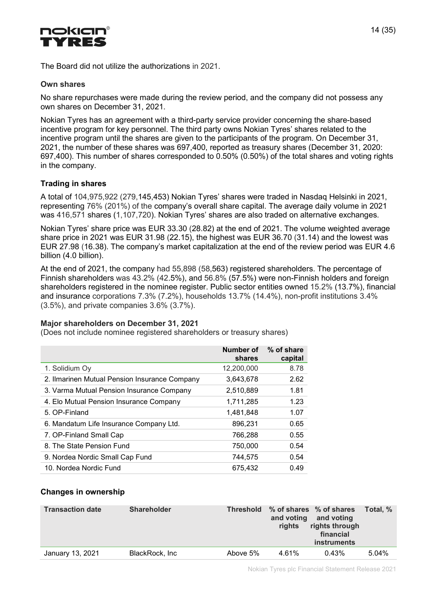

The Board did not utilize the authorizations in 2021.

#### Own shares

No share repurchases were made during the review period, and the company did not possess any own shares on December 31, 2021.

Nokian Tyres has an agreement with a third-party service provider concerning the share-based incentive program for key personnel. The third party owns Nokian Tyres' shares related to the incentive program until the shares are given to the participants of the program. On December 31, 2021, the number of these shares was 697,400, reported as treasury shares (December 31, 2020: 697,400). This number of shares corresponded to 0.50% (0.50%) of the total shares and voting rights in the company.

#### Trading in shares

A total of 104,975,922 (279,145,453) Nokian Tyres' shares were traded in Nasdaq Helsinki in 2021, representing 76% (201%) of the company's overall share capital. The average daily volume in 2021 was 416,571 shares (1,107,720). Nokian Tyres' shares are also traded on alternative exchanges.

Nokian Tyres' share price was EUR 33.30 (28.82) at the end of 2021. The volume weighted average share price in 2021 was EUR 31.98 (22.15), the highest was EUR 36.70 (31.14) and the lowest was EUR 27.98 (16.38). The company's market capitalization at the end of the review period was EUR 4.6 billion (4.0 billion).

At the end of 2021, the company had 55,898 (58,563) registered shareholders. The percentage of Finnish shareholders was 43.2% (42.5%), and 56.8% (57.5%) were non-Finnish holders and foreign shareholders registered in the nominee register. Public sector entities owned 15.2% (13.7%), financial and insurance corporations 7.3% (7.2%), households 13.7% (14.4%), non-profit institutions 3.4% (3.5%), and private companies 3.6% (3.7%).

#### Major shareholders on December 31, 2021

(Does not include nominee registered shareholders or treasury shares)

|                                               | Number of<br>shares | % of share<br>capital |
|-----------------------------------------------|---------------------|-----------------------|
| 1. Solidium Oy                                | 12,200,000          | 8.78                  |
| 2. Ilmarinen Mutual Pension Insurance Company | 3,643,678           | 2.62                  |
| 3. Varma Mutual Pension Insurance Company     | 2,510,889           | 1.81                  |
| 4. Elo Mutual Pension Insurance Company       | 1,711,285           | 1.23                  |
| 5. OP-Finland                                 | 1,481,848           | 1.07                  |
| 6. Mandatum Life Insurance Company Ltd.       | 896,231             | 0.65                  |
| 7. OP-Finland Small Cap                       | 766,288             | 0.55                  |
| 8. The State Pension Fund                     | 750,000             | 0.54                  |
| 9. Nordea Nordic Small Cap Fund               | 744.575             | 0.54                  |
| 10. Nordea Nordic Fund                        | 675.432             | 0.49                  |

#### Changes in ownership

| <b>Transaction date</b> | <b>Shareholder</b> | <b>Threshold</b> | and voting<br>rights | % of shares % of shares<br>and voting<br>rights through<br>financial<br><b>instruments</b> | Total, % |
|-------------------------|--------------------|------------------|----------------------|--------------------------------------------------------------------------------------------|----------|
| January 13, 2021        | BlackRock, Inc.    | Above 5%         | 4.61%                | 0.43%                                                                                      | $5.04\%$ |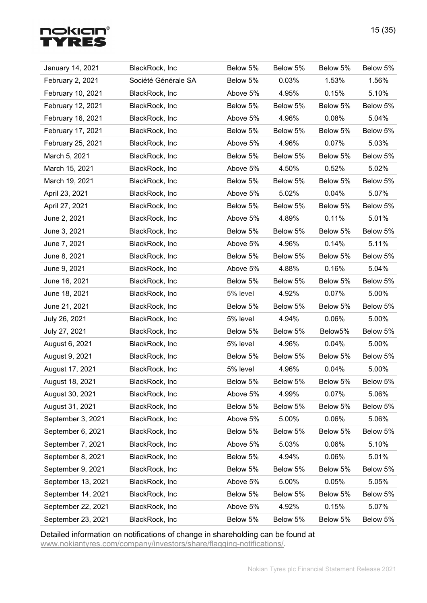# **nokian®<br>TYRES**

| January 14, 2021   | BlackRock, Inc      | Below 5% | Below 5% | Below 5% | Below 5% |
|--------------------|---------------------|----------|----------|----------|----------|
| February 2, 2021   | Société Générale SA | Below 5% | 0.03%    | 1.53%    | 1.56%    |
| February 10, 2021  | BlackRock, Inc      | Above 5% | 4.95%    | 0.15%    | 5.10%    |
| February 12, 2021  | BlackRock, Inc      | Below 5% | Below 5% | Below 5% | Below 5% |
| February 16, 2021  | BlackRock, Inc      | Above 5% | 4.96%    | 0.08%    | 5.04%    |
| February 17, 2021  | BlackRock, Inc      | Below 5% | Below 5% | Below 5% | Below 5% |
| February 25, 2021  | BlackRock, Inc      | Above 5% | 4.96%    | 0.07%    | 5.03%    |
| March 5, 2021      | BlackRock, Inc      | Below 5% | Below 5% | Below 5% | Below 5% |
| March 15, 2021     | BlackRock, Inc      | Above 5% | 4.50%    | 0.52%    | 5.02%    |
| March 19, 2021     | BlackRock, Inc      | Below 5% | Below 5% | Below 5% | Below 5% |
| April 23, 2021     | BlackRock, Inc      | Above 5% | 5.02%    | 0.04%    | 5.07%    |
| April 27, 2021     | BlackRock, Inc      | Below 5% | Below 5% | Below 5% | Below 5% |
| June 2, 2021       | BlackRock, Inc      | Above 5% | 4.89%    | 0.11%    | 5.01%    |
| June 3, 2021       | BlackRock, Inc      | Below 5% | Below 5% | Below 5% | Below 5% |
| June 7, 2021       | BlackRock, Inc      | Above 5% | 4.96%    | 0.14%    | 5.11%    |
| June 8, 2021       | BlackRock, Inc      | Below 5% | Below 5% | Below 5% | Below 5% |
| June 9, 2021       | BlackRock, Inc      | Above 5% | 4.88%    | 0.16%    | 5.04%    |
| June 16, 2021      | BlackRock, Inc      | Below 5% | Below 5% | Below 5% | Below 5% |
| June 18, 2021      | BlackRock, Inc      | 5% level | 4.92%    | 0.07%    | 5.00%    |
| June 21, 2021      | BlackRock, Inc      | Below 5% | Below 5% | Below 5% | Below 5% |
| July 26, 2021      | BlackRock, Inc      | 5% level | 4.94%    | 0.06%    | 5.00%    |
| July 27, 2021      | BlackRock, Inc      | Below 5% | Below 5% | Below5%  | Below 5% |
| August 6, 2021     | BlackRock, Inc      | 5% level | 4.96%    | 0.04%    | 5.00%    |
| August 9, 2021     | BlackRock, Inc      | Below 5% | Below 5% | Below 5% | Below 5% |
| August 17, 2021    | BlackRock, Inc      | 5% level | 4.96%    | 0.04%    | 5.00%    |
| August 18, 2021    | BlackRock, Inc.     | Below 5% | Below 5% | Below 5% | Below 5% |
| August 30, 2021    | BlackRock, Inc      | Above 5% | 4.99%    | 0.07%    | 5.06%    |
| August 31, 2021    | BlackRock, Inc      | Below 5% | Below 5% | Below 5% | Below 5% |
| September 3, 2021  | BlackRock, Inc      | Above 5% | 5.00%    | 0.06%    | 5.06%    |
| September 6, 2021  | BlackRock, Inc      | Below 5% | Below 5% | Below 5% | Below 5% |
| September 7, 2021  | BlackRock, Inc      | Above 5% | 5.03%    | 0.06%    | 5.10%    |
| September 8, 2021  | BlackRock, Inc      | Below 5% | 4.94%    | 0.06%    | 5.01%    |
| September 9, 2021  | BlackRock, Inc      | Below 5% | Below 5% | Below 5% | Below 5% |
| September 13, 2021 | BlackRock, Inc      | Above 5% | 5.00%    | 0.05%    | 5.05%    |
| September 14, 2021 | BlackRock, Inc      | Below 5% | Below 5% | Below 5% | Below 5% |
| September 22, 2021 | BlackRock, Inc      | Above 5% | 4.92%    | 0.15%    | 5.07%    |
| September 23, 2021 | BlackRock, Inc      | Below 5% | Below 5% | Below 5% | Below 5% |

Detailed information on notifications of change in shareholding can be found at www.nokiantyres.com/company/investors/share/flagging-notifications/.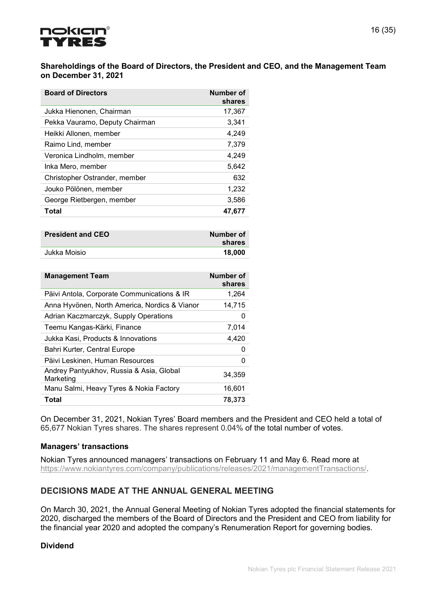

#### Shareholdings of the Board of Directors, the President and CEO, and the Management Team on December 31, 2021

| <b>Board of Directors</b>      | <b>Number of</b><br>shares |
|--------------------------------|----------------------------|
| Jukka Hienonen, Chairman       | 17,367                     |
| Pekka Vauramo, Deputy Chairman | 3,341                      |
| Heikki Allonen, member         | 4,249                      |
| Raimo Lind, member             | 7,379                      |
| Veronica Lindholm, member      | 4,249                      |
| Inka Mero, member              | 5,642                      |
| Christopher Ostrander, member  | 632                        |
| Jouko Pölönen, member          | 1,232                      |
| George Rietbergen, member      | 3,586                      |
| Total                          | 47,677                     |

| <b>President and CEO</b> | Number of<br>shares |
|--------------------------|---------------------|
| Jukka Moisio             | 18,000              |

| <b>Management Team</b>                                | Number of<br>shares |
|-------------------------------------------------------|---------------------|
| Päivi Antola, Corporate Communications & IR           | 1,264               |
| Anna Hyvönen, North America, Nordics & Vianor         | 14,715              |
| Adrian Kaczmarczyk, Supply Operations                 | O                   |
| Teemu Kangas-Kärki, Finance                           | 7,014               |
| Jukka Kasi, Products & Innovations                    | 4,420               |
| Bahri Kurter, Central Europe                          | 0                   |
| Päivi Leskinen, Human Resources                       | 0                   |
| Andrey Pantyukhov, Russia & Asia, Global<br>Marketing | 34,359              |
| Manu Salmi, Heavy Tyres & Nokia Factory               | 16.601              |
| Total                                                 | 78,373              |

On December 31, 2021, Nokian Tyres' Board members and the President and CEO held a total of 65,677 Nokian Tyres shares. The shares represent 0.04% of the total number of votes.

#### Managers' transactions

Nokian Tyres announced managers' transactions on February 11 and May 6. Read more at https://www.nokiantyres.com/company/publications/releases/2021/managementTransactions/.

# DECISIONS MADE AT THE ANNUAL GENERAL MEETING

On March 30, 2021, the Annual General Meeting of Nokian Tyres adopted the financial statements for 2020, discharged the members of the Board of Directors and the President and CEO from liability for the financial year 2020 and adopted the company's Renumeration Report for governing bodies.

#### Dividend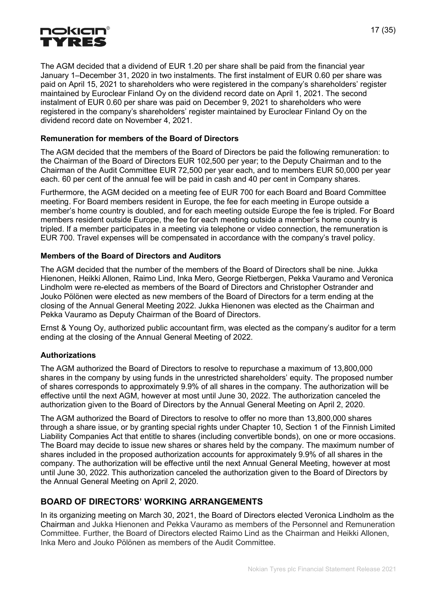

The AGM decided that a dividend of EUR 1.20 per share shall be paid from the financial year January 1–December 31, 2020 in two instalments. The first instalment of EUR 0.60 per share was paid on April 15, 2021 to shareholders who were registered in the company's shareholders' register maintained by Euroclear Finland Oy on the dividend record date on April 1, 2021. The second instalment of EUR 0.60 per share was paid on December 9, 2021 to shareholders who were registered in the company's shareholders' register maintained by Euroclear Finland Oy on the dividend record date on November 4, 2021.

#### Remuneration for members of the Board of Directors

The AGM decided that the members of the Board of Directors be paid the following remuneration: to the Chairman of the Board of Directors EUR 102,500 per year; to the Deputy Chairman and to the Chairman of the Audit Committee EUR 72,500 per year each, and to members EUR 50,000 per year each. 60 per cent of the annual fee will be paid in cash and 40 per cent in Company shares.

Furthermore, the AGM decided on a meeting fee of EUR 700 for each Board and Board Committee meeting. For Board members resident in Europe, the fee for each meeting in Europe outside a member's home country is doubled, and for each meeting outside Europe the fee is tripled. For Board members resident outside Europe, the fee for each meeting outside a member's home country is tripled. If a member participates in a meeting via telephone or video connection, the remuneration is EUR 700. Travel expenses will be compensated in accordance with the company's travel policy.

#### Members of the Board of Directors and Auditors

The AGM decided that the number of the members of the Board of Directors shall be nine. Jukka Hienonen, Heikki Allonen, Raimo Lind, Inka Mero, George Rietbergen, Pekka Vauramo and Veronica Lindholm were re-elected as members of the Board of Directors and Christopher Ostrander and Jouko Pölönen were elected as new members of the Board of Directors for a term ending at the closing of the Annual General Meeting 2022. Jukka Hienonen was elected as the Chairman and Pekka Vauramo as Deputy Chairman of the Board of Directors.

Ernst & Young Oy, authorized public accountant firm, was elected as the company's auditor for a term ending at the closing of the Annual General Meeting of 2022.

#### Authorizations

The AGM authorized the Board of Directors to resolve to repurchase a maximum of 13,800,000 shares in the company by using funds in the unrestricted shareholders' equity. The proposed number of shares corresponds to approximately 9.9% of all shares in the company. The authorization will be effective until the next AGM, however at most until June 30, 2022. The authorization canceled the authorization given to the Board of Directors by the Annual General Meeting on April 2, 2020.

The AGM authorized the Board of Directors to resolve to offer no more than 13,800,000 shares through a share issue, or by granting special rights under Chapter 10, Section 1 of the Finnish Limited Liability Companies Act that entitle to shares (including convertible bonds), on one or more occasions. The Board may decide to issue new shares or shares held by the company. The maximum number of shares included in the proposed authorization accounts for approximately 9.9% of all shares in the company. The authorization will be effective until the next Annual General Meeting, however at most until June 30, 2022. This authorization canceled the authorization given to the Board of Directors by the Annual General Meeting on April 2, 2020.

#### BOARD OF DIRECTORS' WORKING ARRANGEMENTS

In its organizing meeting on March 30, 2021, the Board of Directors elected Veronica Lindholm as the Chairman and Jukka Hienonen and Pekka Vauramo as members of the Personnel and Remuneration Committee. Further, the Board of Directors elected Raimo Lind as the Chairman and Heikki Allonen, Inka Mero and Jouko Pölönen as members of the Audit Committee.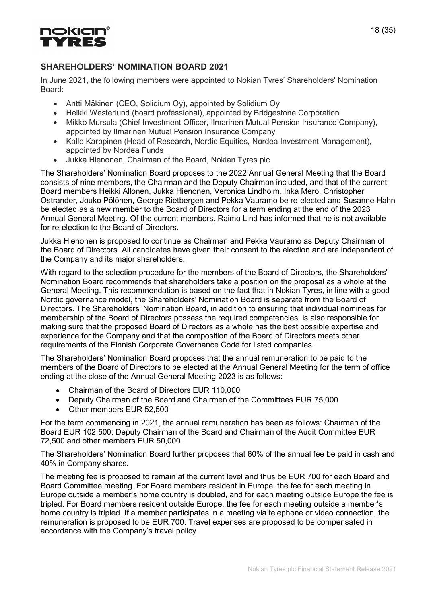

# SHAREHOLDERS' NOMINATION BOARD 2021

In June 2021, the following members were appointed to Nokian Tyres' Shareholders' Nomination Board:

- Antti Mäkinen (CEO, Solidium Oy), appointed by Solidium Oy
- Heikki Westerlund (board professional), appointed by Bridgestone Corporation
- Mikko Mursula (Chief Investment Officer, Ilmarinen Mutual Pension Insurance Company), appointed by Ilmarinen Mutual Pension Insurance Company
- Kalle Karppinen (Head of Research, Nordic Equities, Nordea Investment Management), appointed by Nordea Funds
- Jukka Hienonen, Chairman of the Board, Nokian Tyres plc

The Shareholders' Nomination Board proposes to the 2022 Annual General Meeting that the Board consists of nine members, the Chairman and the Deputy Chairman included, and that of the current Board members Heikki Allonen, Jukka Hienonen, Veronica Lindholm, Inka Mero, Christopher Ostrander, Jouko Pölönen, George Rietbergen and Pekka Vauramo be re-elected and Susanne Hahn be elected as a new member to the Board of Directors for a term ending at the end of the 2023 Annual General Meeting. Of the current members, Raimo Lind has informed that he is not available for re-election to the Board of Directors.

Jukka Hienonen is proposed to continue as Chairman and Pekka Vauramo as Deputy Chairman of the Board of Directors. All candidates have given their consent to the election and are independent of the Company and its major shareholders.

With regard to the selection procedure for the members of the Board of Directors, the Shareholders' Nomination Board recommends that shareholders take a position on the proposal as a whole at the General Meeting. This recommendation is based on the fact that in Nokian Tyres, in line with a good Nordic governance model, the Shareholders' Nomination Board is separate from the Board of Directors. The Shareholders' Nomination Board, in addition to ensuring that individual nominees for membership of the Board of Directors possess the required competencies, is also responsible for making sure that the proposed Board of Directors as a whole has the best possible expertise and experience for the Company and that the composition of the Board of Directors meets other requirements of the Finnish Corporate Governance Code for listed companies.

The Shareholders' Nomination Board proposes that the annual remuneration to be paid to the members of the Board of Directors to be elected at the Annual General Meeting for the term of office ending at the close of the Annual General Meeting 2023 is as follows:

- Chairman of the Board of Directors EUR 110,000
- Deputy Chairman of the Board and Chairmen of the Committees EUR 75,000
- Other members EUR 52,500

For the term commencing in 2021, the annual remuneration has been as follows: Chairman of the Board EUR 102,500; Deputy Chairman of the Board and Chairman of the Audit Committee EUR 72,500 and other members EUR 50,000.

The Shareholders' Nomination Board further proposes that 60% of the annual fee be paid in cash and 40% in Company shares.

The meeting fee is proposed to remain at the current level and thus be EUR 700 for each Board and Board Committee meeting. For Board members resident in Europe, the fee for each meeting in Europe outside a member's home country is doubled, and for each meeting outside Europe the fee is tripled. For Board members resident outside Europe, the fee for each meeting outside a member's home country is tripled. If a member participates in a meeting via telephone or video connection, the remuneration is proposed to be EUR 700. Travel expenses are proposed to be compensated in accordance with the Company's travel policy.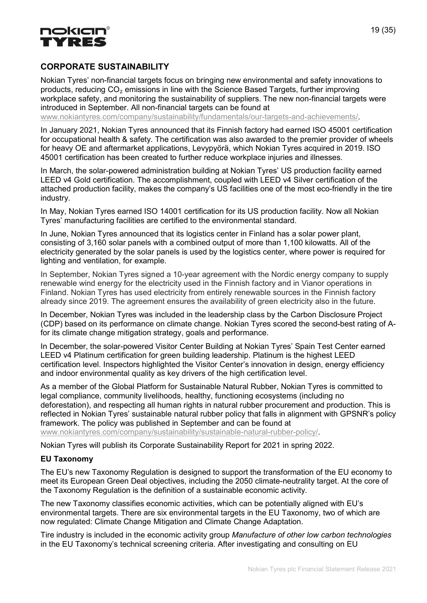

# CORPORATE SUSTAINABILITY

Nokian Tyres' non-financial targets focus on bringing new environmental and safety innovations to products, reducing  $CO<sub>2</sub>$  emissions in line with the Science Based Targets, further improving workplace safety, and monitoring the sustainability of suppliers. The new non-financial targets were introduced in September. All non-financial targets can be found at

www.nokiantyres.com/company/sustainability/fundamentals/our-targets-and-achievements/.

In January 2021, Nokian Tyres announced that its Finnish factory had earned ISO 45001 certification for occupational health & safety. The certification was also awarded to the premier provider of wheels for heavy OE and aftermarket applications, Levypyörä, which Nokian Tyres acquired in 2019. ISO 45001 certification has been created to further reduce workplace injuries and illnesses.

In March, the solar-powered administration building at Nokian Tyres' US production facility earned LEED v4 Gold certification. The accomplishment, coupled with LEED v4 Silver certification of the attached production facility, makes the company's US facilities one of the most eco-friendly in the tire industry.

In May, Nokian Tyres earned ISO 14001 certification for its US production facility. Now all Nokian Tyres' manufacturing facilities are certified to the environmental standard.

In June, Nokian Tyres announced that its logistics center in Finland has a solar power plant, consisting of 3,160 solar panels with a combined output of more than 1,100 kilowatts. All of the electricity generated by the solar panels is used by the logistics center, where power is required for lighting and ventilation, for example.

In September, Nokian Tyres signed a 10-year agreement with the Nordic energy company to supply renewable wind energy for the electricity used in the Finnish factory and in Vianor operations in Finland. Nokian Tyres has used electricity from entirely renewable sources in the Finnish factory already since 2019. The agreement ensures the availability of green electricity also in the future.

In December, Nokian Tyres was included in the leadership class by the Carbon Disclosure Project (CDP) based on its performance on climate change. Nokian Tyres scored the second-best rating of Afor its climate change mitigation strategy, goals and performance.

In December, the solar-powered Visitor Center Building at Nokian Tyres' Spain Test Center earned LEED v4 Platinum certification for green building leadership. Platinum is the highest LEED certification level. Inspectors highlighted the Visitor Center's innovation in design, energy efficiency and indoor environmental quality as key drivers of the high certification level.

As a member of the Global Platform for Sustainable Natural Rubber, Nokian Tyres is committed to legal compliance, community livelihoods, healthy, functioning ecosystems (including no deforestation), and respecting all human rights in natural rubber procurement and production. This is reflected in Nokian Tyres' sustainable natural rubber policy that falls in alignment with GPSNR's policy framework. The policy was published in September and can be found at www.nokiantyres.com/company/sustainability/sustainable-natural-rubber-policy/.

Nokian Tyres will publish its Corporate Sustainability Report for 2021 in spring 2022.

#### EU Taxonomy

The EU's new Taxonomy Regulation is designed to support the transformation of the EU economy to meet its European Green Deal objectives, including the 2050 climate-neutrality target. At the core of the Taxonomy Regulation is the definition of a sustainable economic activity.

The new Taxonomy classifies economic activities, which can be potentially aligned with EU's environmental targets. There are six environmental targets in the EU Taxonomy, two of which are now regulated: Climate Change Mitigation and Climate Change Adaptation.

Tire industry is included in the economic activity group Manufacture of other low carbon technologies in the EU Taxonomy's technical screening criteria. After investigating and consulting on EU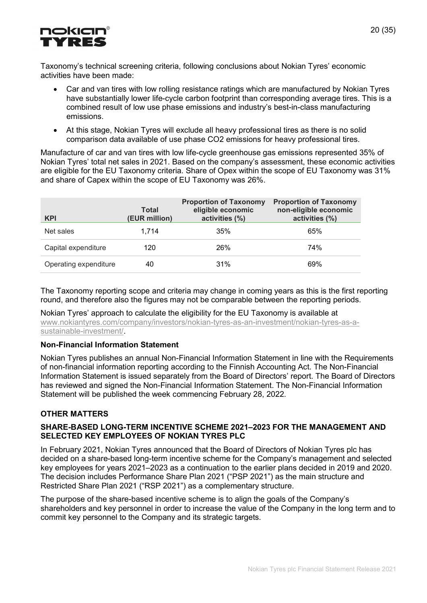

Taxonomy's technical screening criteria, following conclusions about Nokian Tyres' economic activities have been made:

- Car and van tires with low rolling resistance ratings which are manufactured by Nokian Tyres have substantially lower life-cycle carbon footprint than corresponding average tires. This is a combined result of low use phase emissions and industry's best-in-class manufacturing emissions.
- At this stage, Nokian Tyres will exclude all heavy professional tires as there is no solid comparison data available of use phase CO2 emissions for heavy professional tires.

Manufacture of car and van tires with low life-cycle greenhouse gas emissions represented 35% of Nokian Tyres' total net sales in 2021. Based on the company's assessment, these economic activities are eligible for the EU Taxonomy criteria. Share of Opex within the scope of EU Taxonomy was 31% and share of Capex within the scope of EU Taxonomy was 26%.

| <b>KPI</b>            | <b>Total</b><br>(EUR million) | <b>Proportion of Taxonomy</b><br>eligible economic<br>activities (%) | <b>Proportion of Taxonomy</b><br>non-eligible economic<br>activities (%) |
|-----------------------|-------------------------------|----------------------------------------------------------------------|--------------------------------------------------------------------------|
| Net sales             | 1.714                         | 35%                                                                  | 65%                                                                      |
| Capital expenditure   | 120                           | 26%                                                                  | 74%                                                                      |
| Operating expenditure | 40                            | 31%                                                                  | 69%                                                                      |

The Taxonomy reporting scope and criteria may change in coming years as this is the first reporting round, and therefore also the figures may not be comparable between the reporting periods.

Nokian Tyres' approach to calculate the eligibility for the EU Taxonomy is available at www.nokiantyres.com/company/investors/nokian-tyres-as-an-investment/nokian-tyres-as-asustainable-investment/.

#### Non-Financial Information Statement

Nokian Tyres publishes an annual Non-Financial Information Statement in line with the Requirements of non-financial information reporting according to the Finnish Accounting Act. The Non-Financial Information Statement is issued separately from the Board of Directors' report. The Board of Directors has reviewed and signed the Non-Financial Information Statement. The Non-Financial Information Statement will be published the week commencing February 28, 2022.

#### OTHER MATTERS

#### SHARE-BASED LONG-TERM INCENTIVE SCHEME 2021–2023 FOR THE MANAGEMENT AND SELECTED KEY EMPLOYEES OF NOKIAN TYRES PLC.

In February 2021, Nokian Tyres announced that the Board of Directors of Nokian Tyres plc has decided on a share-based long-term incentive scheme for the Company's management and selected key employees for years 2021–2023 as a continuation to the earlier plans decided in 2019 and 2020. The decision includes Performance Share Plan 2021 ("PSP 2021") as the main structure and Restricted Share Plan 2021 ("RSP 2021") as a complementary structure.

The purpose of the share-based incentive scheme is to align the goals of the Company's shareholders and key personnel in order to increase the value of the Company in the long term and to commit key personnel to the Company and its strategic targets.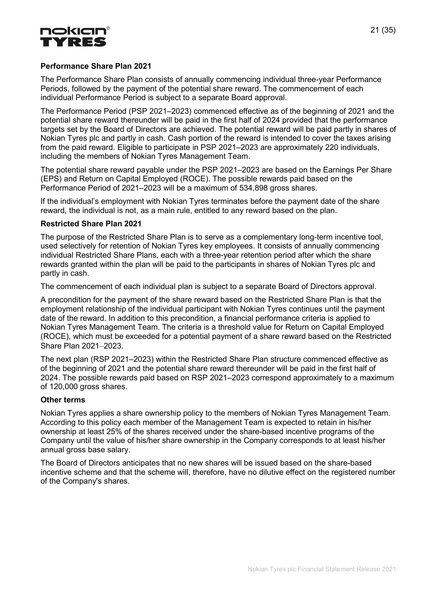

#### Performance Share Plan 2021

The Performance Share Plan consists of annually commencing individual three-year Performance Periods, followed by the payment of the potential share reward. The commencement of each individual Performance Period is subject to a separate Board approval.

The Performance Period (PSP 2021–2023) commenced effective as of the beginning of 2021 and the potential share reward thereunder will be paid in the first half of 2024 provided that the performance targets set by the Board of Directors are achieved. The potential reward will be paid partly in shares of Nokian Tyres plc and partly in cash. Cash portion of the reward is intended to cover the taxes arising from the paid reward. Eligible to participate in PSP 2021–2023 are approximately 220 individuals, including the members of Nokian Tyres Management Team.

The potential share reward payable under the PSP 2021–2023 are based on the Earnings Per Share (EPS) and Return on Capital Employed (ROCE). The possible rewards paid based on the Performance Period of 2021–2023 will be a maximum of 534,898 gross shares.

If the individual's employment with Nokian Tyres terminates before the payment date of the share reward, the individual is not, as a main rule, entitled to any reward based on the plan.

#### Restricted Share Plan 2021

The purpose of the Restricted Share Plan is to serve as a complementary long-term incentive tool, used selectively for retention of Nokian Tyres key employees. It consists of annually commencing individual Restricted Share Plans, each with a three-year retention period after which the share rewards granted within the plan will be paid to the participants in shares of Nokian Tyres plc and partly in cash.

The commencement of each individual plan is subject to a separate Board of Directors approval.

A precondition for the payment of the share reward based on the Restricted Share Plan is that the employment relationship of the individual participant with Nokian Tyres continues until the payment date of the reward. In addition to this precondition, a financial performance criteria is applied to Nokian Tyres Management Team. The criteria is a threshold value for Return on Capital Employed (ROCE), which must be exceeded for a potential payment of a share reward based on the Restricted Share Plan 2021–2023.

The next plan (RSP 2021–2023) within the Restricted Share Plan structure commenced effective as of the beginning of 2021 and the potential share reward thereunder will be paid in the first half of 2024. The possible rewards paid based on RSP 2021–2023 correspond approximately to a maximum of 120,000 gross shares.

#### Other terms

Nokian Tyres applies a share ownership policy to the members of Nokian Tyres Management Team. According to this policy each member of the Management Team is expected to retain in his/her ownership at least 25% of the shares received under the share-based incentive programs of the Company until the value of his/her share ownership in the Company corresponds to at least his/her annual gross base salary.

The Board of Directors anticipates that no new shares will be issued based on the share-based incentive scheme and that the scheme will, therefore, have no dilutive effect on the registered number of the Company's shares.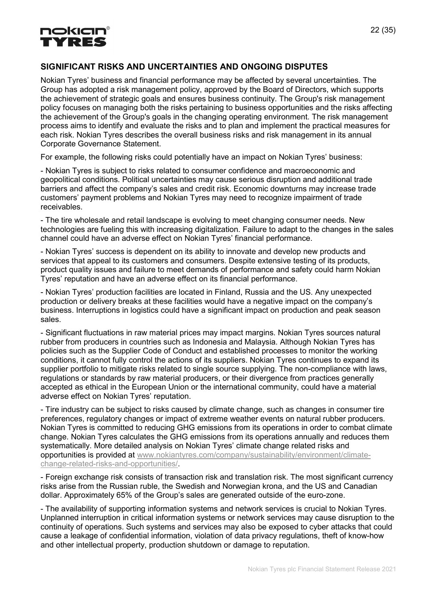

# SIGNIFICANT RISKS AND UNCERTAINTIES AND ONGOING DISPUTES

Nokian Tyres' business and financial performance may be affected by several uncertainties. The Group has adopted a risk management policy, approved by the Board of Directors, which supports the achievement of strategic goals and ensures business continuity. The Group's risk management policy focuses on managing both the risks pertaining to business opportunities and the risks affecting the achievement of the Group's goals in the changing operating environment. The risk management process aims to identify and evaluate the risks and to plan and implement the practical measures for each risk. Nokian Tyres describes the overall business risks and risk management in its annual Corporate Governance Statement.

For example, the following risks could potentially have an impact on Nokian Tyres' business:

- Nokian Tyres is subject to risks related to consumer confidence and macroeconomic and geopolitical conditions. Political uncertainties may cause serious disruption and additional trade barriers and affect the company's sales and credit risk. Economic downturns may increase trade customers' payment problems and Nokian Tyres may need to recognize impairment of trade receivables.

- The tire wholesale and retail landscape is evolving to meet changing consumer needs. New technologies are fueling this with increasing digitalization. Failure to adapt to the changes in the sales channel could have an adverse effect on Nokian Tyres' financial performance.

- Nokian Tyres' success is dependent on its ability to innovate and develop new products and services that appeal to its customers and consumers. Despite extensive testing of its products, product quality issues and failure to meet demands of performance and safety could harm Nokian Tyres' reputation and have an adverse effect on its financial performance.

- Nokian Tyres' production facilities are located in Finland, Russia and the US. Any unexpected production or delivery breaks at these facilities would have a negative impact on the company's business. Interruptions in logistics could have a significant impact on production and peak season sales.

- Significant fluctuations in raw material prices may impact margins. Nokian Tyres sources natural rubber from producers in countries such as Indonesia and Malaysia. Although Nokian Tyres has policies such as the Supplier Code of Conduct and established processes to monitor the working conditions, it cannot fully control the actions of its suppliers. Nokian Tyres continues to expand its supplier portfolio to mitigate risks related to single source supplying. The non-compliance with laws, regulations or standards by raw material producers, or their divergence from practices generally accepted as ethical in the European Union or the international community, could have a material adverse effect on Nokian Tyres' reputation.

- Tire industry can be subject to risks caused by climate change, such as changes in consumer tire preferences, regulatory changes or impact of extreme weather events on natural rubber producers. Nokian Tyres is committed to reducing GHG emissions from its operations in order to combat climate change. Nokian Tyres calculates the GHG emissions from its operations annually and reduces them systematically. More detailed analysis on Nokian Tyres' climate change related risks and opportunities is provided at www.nokiantyres.com/company/sustainability/environment/climatechange-related-risks-and-opportunities/.

- Foreign exchange risk consists of transaction risk and translation risk. The most significant currency risks arise from the Russian ruble, the Swedish and Norwegian krona, and the US and Canadian dollar. Approximately 65% of the Group's sales are generated outside of the euro-zone.

- The availability of supporting information systems and network services is crucial to Nokian Tyres. Unplanned interruption in critical information systems or network services may cause disruption to the continuity of operations. Such systems and services may also be exposed to cyber attacks that could cause a leakage of confidential information, violation of data privacy regulations, theft of know-how and other intellectual property, production shutdown or damage to reputation.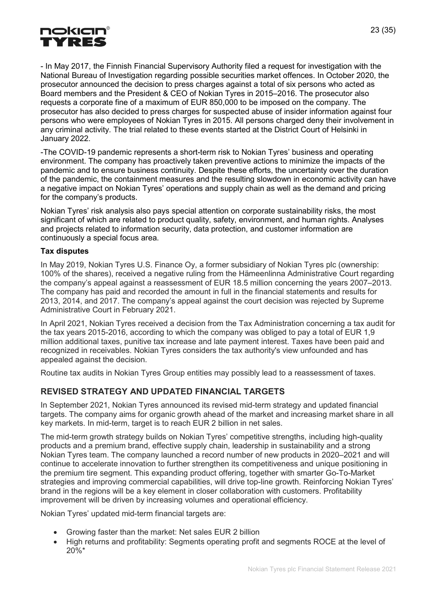

- In May 2017, the Finnish Financial Supervisory Authority filed a request for investigation with the National Bureau of Investigation regarding possible securities market offences. In October 2020, the prosecutor announced the decision to press charges against a total of six persons who acted as Board members and the President & CEO of Nokian Tyres in 2015–2016. The prosecutor also requests a corporate fine of a maximum of EUR 850,000 to be imposed on the company. The prosecutor has also decided to press charges for suspected abuse of insider information against four persons who were employees of Nokian Tyres in 2015. All persons charged deny their involvement in any criminal activity. The trial related to these events started at the District Court of Helsinki in January 2022.

-The COVID-19 pandemic represents a short-term risk to Nokian Tyres' business and operating environment. The company has proactively taken preventive actions to minimize the impacts of the pandemic and to ensure business continuity. Despite these efforts, the uncertainty over the duration of the pandemic, the containment measures and the resulting slowdown in economic activity can have a negative impact on Nokian Tyres' operations and supply chain as well as the demand and pricing for the company's products.

Nokian Tyres' risk analysis also pays special attention on corporate sustainability risks, the most significant of which are related to product quality, safety, environment, and human rights. Analyses and projects related to information security, data protection, and customer information are continuously a special focus area.

#### Tax disputes

In May 2019, Nokian Tyres U.S. Finance Oy, a former subsidiary of Nokian Tyres plc (ownership: 100% of the shares), received a negative ruling from the Hämeenlinna Administrative Court regarding the company's appeal against a reassessment of EUR 18.5 million concerning the years 2007–2013. The company has paid and recorded the amount in full in the financial statements and results for 2013, 2014, and 2017. The company's appeal against the court decision was rejected by Supreme Administrative Court in February 2021.

In April 2021, Nokian Tyres received a decision from the Tax Administration concerning a tax audit for the tax years 2015-2016, according to which the company was obliged to pay a total of EUR 1,9 million additional taxes, punitive tax increase and late payment interest. Taxes have been paid and recognized in receivables. Nokian Tyres considers the tax authority's view unfounded and has appealed against the decision.

Routine tax audits in Nokian Tyres Group entities may possibly lead to a reassessment of taxes.

# REVISED STRATEGY AND UPDATED FINANCIAL TARGETS

In September 2021, Nokian Tyres announced its revised mid-term strategy and updated financial targets. The company aims for organic growth ahead of the market and increasing market share in all key markets. In mid-term, target is to reach EUR 2 billion in net sales.

The mid-term growth strategy builds on Nokian Tyres' competitive strengths, including high-quality products and a premium brand, effective supply chain, leadership in sustainability and a strong Nokian Tyres team. The company launched a record number of new products in 2020–2021 and will continue to accelerate innovation to further strengthen its competitiveness and unique positioning in the premium tire segment. This expanding product offering, together with smarter Go-To-Market strategies and improving commercial capabilities, will drive top-line growth. Reinforcing Nokian Tyres' brand in the regions will be a key element in closer collaboration with customers. Profitability improvement will be driven by increasing volumes and operational efficiency.

Nokian Tyres' updated mid-term financial targets are:

- Growing faster than the market: Net sales EUR 2 billion
- High returns and profitability: Segments operating profit and segments ROCE at the level of 20%\*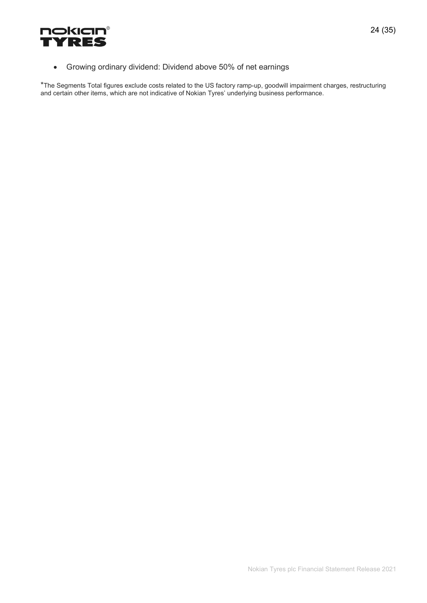

Growing ordinary dividend: Dividend above 50% of net earnings

\*The Segments Total figures exclude costs related to the US factory ramp-up, goodwill impairment charges, restructuring and certain other items, which are not indicative of Nokian Tyres' underlying business performance.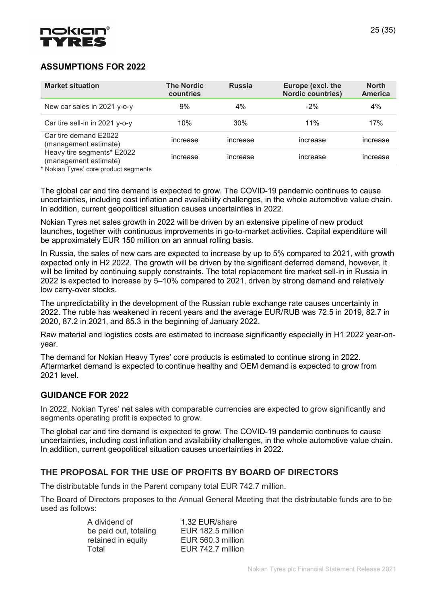

# ASSUMPTIONS FOR 2022

| <b>Market situation</b>                             | <b>The Nordic</b><br>countries | <b>Russia</b> | Europe (excl. the<br><b>Nordic countries)</b> | <b>North</b><br><b>America</b> |
|-----------------------------------------------------|--------------------------------|---------------|-----------------------------------------------|--------------------------------|
| New car sales in 2021 y-o-y                         | 9%                             | 4%            | $-2\%$                                        | 4%                             |
| Car tire sell-in in 2021 y-o-y                      | 10%                            | 30%           | 11%                                           | 17%                            |
| Car tire demand E2022<br>(management estimate)      | increase                       | increase      | increase                                      | increase                       |
| Heavy tire segments* E2022<br>(management estimate) | increase                       | increase      | increase                                      | increase                       |

\* Nokian Tyres' core product segments

The global car and tire demand is expected to grow. The COVID-19 pandemic continues to cause uncertainties, including cost inflation and availability challenges, in the whole automotive value chain. In addition, current geopolitical situation causes uncertainties in 2022.

Nokian Tyres net sales growth in 2022 will be driven by an extensive pipeline of new product launches, together with continuous improvements in go-to-market activities. Capital expenditure will be approximately EUR 150 million on an annual rolling basis.

In Russia, the sales of new cars are expected to increase by up to 5% compared to 2021, with growth expected only in H2 2022. The growth will be driven by the significant deferred demand, however, it will be limited by continuing supply constraints. The total replacement tire market sell-in in Russia in 2022 is expected to increase by 5–10% compared to 2021, driven by strong demand and relatively low carry-over stocks.

The unpredictability in the development of the Russian ruble exchange rate causes uncertainty in 2022. The ruble has weakened in recent years and the average EUR/RUB was 72.5 in 2019, 82.7 in 2020, 87.2 in 2021, and 85.3 in the beginning of January 2022.

Raw material and logistics costs are estimated to increase significantly especially in H1 2022 year-onyear.

The demand for Nokian Heavy Tyres' core products is estimated to continue strong in 2022. Aftermarket demand is expected to continue healthy and OEM demand is expected to grow from 2021 level.

# GUIDANCE FOR 2022

In 2022, Nokian Tyres' net sales with comparable currencies are expected to grow significantly and segments operating profit is expected to grow.

The global car and tire demand is expected to grow. The COVID-19 pandemic continues to cause uncertainties, including cost inflation and availability challenges, in the whole automotive value chain. In addition, current geopolitical situation causes uncertainties in 2022.

# THE PROPOSAL FOR THE USE OF PROFITS BY BOARD OF DIRECTORS

The distributable funds in the Parent company total EUR 742.7 million.

The Board of Directors proposes to the Annual General Meeting that the distributable funds are to be used as follows:

| A dividend of         | 1.32 EUR/share    |
|-----------------------|-------------------|
| be paid out, totaling | EUR 182.5 million |
| retained in equity    | EUR 560.3 million |
| Total                 | EUR 742.7 million |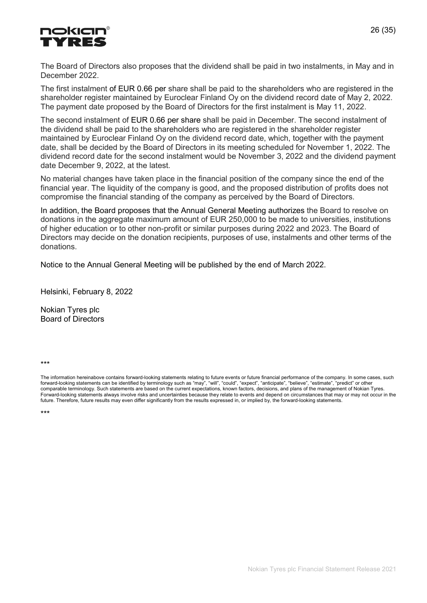

The Board of Directors also proposes that the dividend shall be paid in two instalments, in May and in December 2022.

The first instalment of EUR 0.66 per share shall be paid to the shareholders who are registered in the shareholder register maintained by Euroclear Finland Oy on the dividend record date of May 2, 2022. The payment date proposed by the Board of Directors for the first instalment is May 11, 2022.

The second instalment of EUR 0.66 per share shall be paid in December. The second instalment of the dividend shall be paid to the shareholders who are registered in the shareholder register maintained by Euroclear Finland Oy on the dividend record date, which, together with the payment date, shall be decided by the Board of Directors in its meeting scheduled for November 1, 2022. The dividend record date for the second instalment would be November 3, 2022 and the dividend payment date December 9, 2022, at the latest.

No material changes have taken place in the financial position of the company since the end of the financial year. The liquidity of the company is good, and the proposed distribution of profits does not compromise the financial standing of the company as perceived by the Board of Directors.

In addition, the Board proposes that the Annual General Meeting authorizes the Board to resolve on donations in the aggregate maximum amount of EUR 250,000 to be made to universities, institutions of higher education or to other non-profit or similar purposes during 2022 and 2023. The Board of Directors may decide on the donation recipients, purposes of use, instalments and other terms of the donations.

Notice to the Annual General Meeting will be published by the end of March 2022.

Helsinki, February 8, 2022

Nokian Tyres plc Board of Directors

\*\*\*

The information hereinabove contains forward-looking statements relating to future events or future financial performance of the company. In some cases, such forward-looking statements can be identified by terminology such as "may", "will", "could", "expect", "anticipate", "believe", "estimate", "predict" or other comparable terminology. Such statements are based on the current expectations, known factors, decisions, and plans of the management of Nokian Tyres. Forward-looking statements always involve risks and uncertainties because they relate to events and depend on circumstances that may or may not occur in the future. Therefore, future results may even differ significantly from the results expressed in, or implied by, the forward-looking statements.

\*\*\*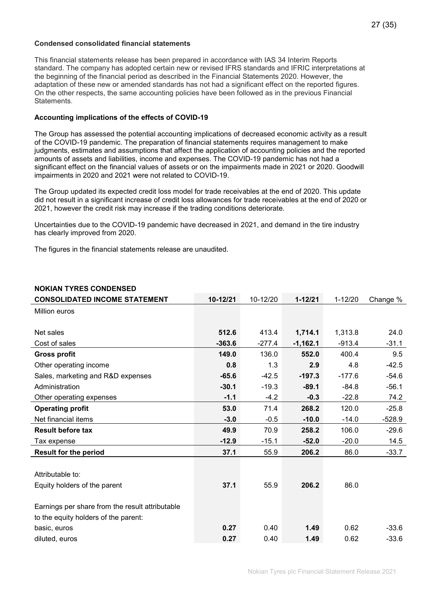#### Condensed consolidated financial statements

This financial statements release has been prepared in accordance with IAS 34 Interim Reports standard. The company has adopted certain new or revised IFRS standards and IFRIC interpretations at the beginning of the financial period as described in the Financial Statements 2020. However, the adaptation of these new or amended standards has not had a significant effect on the reported figures. On the other respects, the same accounting policies have been followed as in the previous Financial **Statements** 

#### Accounting implications of the effects of COVID-19

The Group has assessed the potential accounting implications of decreased economic activity as a result of the COVID-19 pandemic. The preparation of financial statements requires management to make judgments, estimates and assumptions that affect the application of accounting policies and the reported amounts of assets and liabilities, income and expenses. The COVID-19 pandemic has not had a significant effect on the financial values of assets or on the impairments made in 2021 or 2020. Goodwill impairments in 2020 and 2021 were not related to COVID-19.

The Group updated its expected credit loss model for trade receivables at the end of 2020. This update did not result in a significant increase of credit loss allowances for trade receivables at the end of 2020 or 2021, however the credit risk may increase if the trading conditions deteriorate.

Uncertainties due to the COVID-19 pandemic have decreased in 2021, and demand in the tire industry has clearly improved from 2020.

The figures in the financial statements release are unaudited.

| <b>CONSOLIDATED INCOME STATEMENT</b>            | 10-12/21 | 10-12/20 | $1 - 12/21$ | $1 - 12/20$ | Change % |
|-------------------------------------------------|----------|----------|-------------|-------------|----------|
| Million euros                                   |          |          |             |             |          |
|                                                 |          |          |             |             |          |
| Net sales                                       | 512.6    | 413.4    | 1,714.1     | 1,313.8     | 24.0     |
| Cost of sales                                   | $-363.6$ | $-277.4$ | $-1,162.1$  | $-913.4$    | $-31.1$  |
| <b>Gross profit</b>                             | 149.0    | 136.0    | 552.0       | 400.4       | 9.5      |
| Other operating income                          | 0.8      | 1.3      | 2.9         | 4.8         | $-42.5$  |
| Sales, marketing and R&D expenses               | $-65.6$  | $-42.5$  | $-197.3$    | $-177.6$    | $-54.6$  |
| Administration                                  | $-30.1$  | $-19.3$  | $-89.1$     | $-84.8$     | $-56.1$  |
| Other operating expenses                        | $-1.1$   | $-4.2$   | $-0.3$      | $-22.8$     | 74.2     |
| <b>Operating profit</b>                         | 53.0     | 71.4     | 268.2       | 120.0       | $-25.8$  |
| Net financial items                             | $-3.0$   | $-0.5$   | $-10.0$     | $-14.0$     | $-528.9$ |
| <b>Result before tax</b>                        | 49.9     | 70.9     | 258.2       | 106.0       | $-29.6$  |
| Tax expense                                     | $-12.9$  | $-15.1$  | $-52.0$     | $-20.0$     | 14.5     |
| <b>Result for the period</b>                    | 37.1     | 55.9     | 206.2       | 86.0        | $-33.7$  |
|                                                 |          |          |             |             |          |
| Attributable to:                                |          |          |             |             |          |
| Equity holders of the parent                    | 37.1     | 55.9     | 206.2       | 86.0        |          |
|                                                 |          |          |             |             |          |
| Earnings per share from the result attributable |          |          |             |             |          |
| to the equity holders of the parent:            |          |          |             |             |          |
| basic, euros                                    | 0.27     | 0.40     | 1.49        | 0.62        | $-33.6$  |
| diluted, euros                                  | 0.27     | 0.40     | 1.49        | 0.62        | $-33.6$  |

# NOKIAN TYRES CONDENSED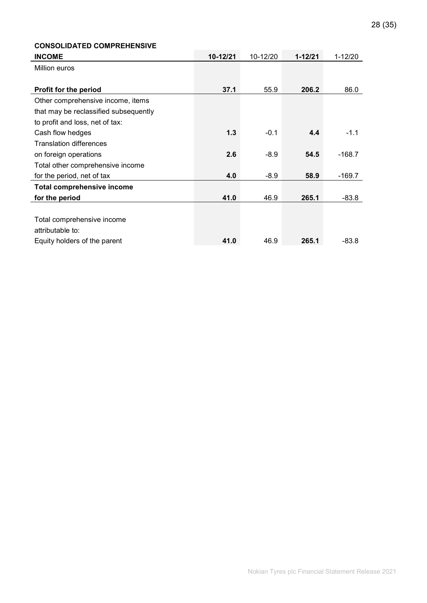|  | 28 (35) |  |  |  |
|--|---------|--|--|--|
|--|---------|--|--|--|

# CONSOLIDATED COMPREHENSIVE INCOME 10-12/21 10-12/20 1-12/21 1-12/20 Million euros **Profit for the period 37.1 55.9 206.2** 86.0 Other comprehensive income, items that may be reclassified subsequently to profit and loss, net of tax: Cash flow hedges 1.3 -0.1 4.4 -1.1 Translation differences on foreign operations and the contract of the contract of the contract of the contract of the contract of the contract of the contract of the contract of the contract of the contract of the contract of the contract of the Total other comprehensive income for the period, net of tax **4.0** -8.9 58.9 -169.7 Total comprehensive income for the period **41.0** 46.9 265.1 -83.8 Total comprehensive income attributable to: Equity holders of the parent 41.0 46.9 265.1 -83.8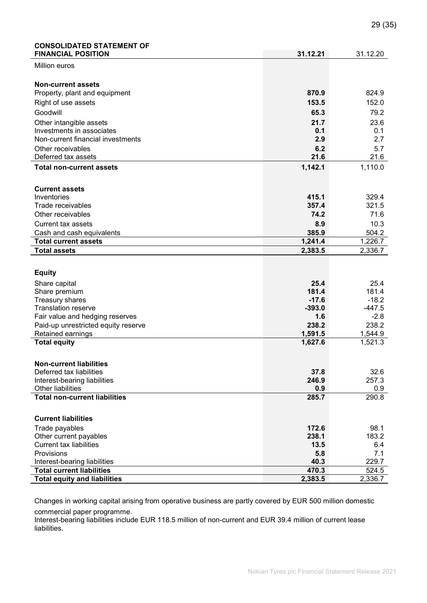# CONSOLIDATED STATEMENT OF

| <b>FINANCIAL POSITION</b>                                | 31.12.21      | 31.12.20      |
|----------------------------------------------------------|---------------|---------------|
| Million euros                                            |               |               |
|                                                          |               |               |
| <b>Non-current assets</b>                                |               |               |
| Property, plant and equipment                            | 870.9         | 824.9         |
| Right of use assets                                      | 153.5         | 152.0         |
| Goodwill                                                 | 65.3          | 79.2          |
|                                                          | 21.7          | 23.6          |
| Other intangible assets<br>Investments in associates     | 0.1           | 0.1           |
| Non-current financial investments                        | 2.9           | 2.7           |
| Other receivables                                        | 6.2           | 5.7           |
| Deferred tax assets                                      | 21.6          | 21.6          |
| <b>Total non-current assets</b>                          | 1,142.1       | 1,110.0       |
|                                                          |               |               |
|                                                          |               |               |
| <b>Current assets</b>                                    |               |               |
| Inventories                                              | 415.1         | 329.4         |
| Trade receivables                                        | 357.4         | 321.5         |
| Other receivables                                        | 74.2          | 71.6          |
| <b>Current tax assets</b>                                | 8.9           | 10.3          |
| Cash and cash equivalents                                | 385.9         | 504.2         |
| <b>Total current assets</b>                              | 1,241.4       | 1,226.7       |
| <b>Total assets</b>                                      | 2,383.5       | 2,336.7       |
|                                                          |               |               |
| <b>Equity</b>                                            |               |               |
| Share capital                                            | 25.4          | 25.4          |
| Share premium                                            | 181.4         | 181.4         |
| Treasury shares                                          |               | $-18.2$       |
|                                                          | $-17.6$       |               |
| <b>Translation reserve</b>                               | $-393.0$      | $-447.5$      |
| Fair value and hedging reserves                          | 1.6           | $-2.8$        |
| Paid-up unrestricted equity reserve                      | 238.2         | 238.2         |
| Retained earnings                                        | 1,591.5       | 1,544.9       |
| <b>Total equity</b>                                      | 1,627.6       | 1,521.3       |
|                                                          |               |               |
|                                                          |               |               |
| <b>Non-current liabilities</b>                           |               |               |
| Deferred tax liabilities<br>Interest-bearing liabilities | 37.8<br>246.9 | 32.6<br>257.3 |
| Other liabilities                                        | 0.9           | 0.9           |
| <b>Total non-current liabilities</b>                     | 285.7         | 290.8         |
|                                                          |               |               |
|                                                          |               |               |
| <b>Current liabilities</b>                               |               |               |
| Trade payables                                           | 172.6         | 98.1          |
| Other current payables<br><b>Current tax liabilities</b> | 238.1<br>13.5 | 183.2<br>6.4  |
| Provisions                                               | 5.8           | 7.1           |
| Interest-bearing liabilities                             | 40.3          | 229.7         |
| <b>Total current liabilities</b>                         | 470.3         | 524.5         |

Changes in working capital arising from operative business are partly covered by EUR 500 million domestic commercial paper programme.

Interest-bearing liabilities include EUR 118.5 million of non-current and EUR 39.4 million of current lease liabilities.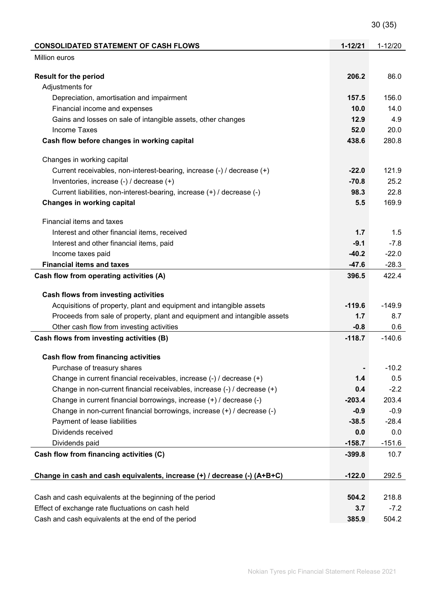30 (35)

| <b>CONSOLIDATED STATEMENT OF CASH FLOWS</b>                               | $1 - 12/21$ | $1 - 12/20$ |
|---------------------------------------------------------------------------|-------------|-------------|
| <b>Million euros</b>                                                      |             |             |
|                                                                           |             |             |
| <b>Result for the period</b>                                              | 206.2       | 86.0        |
| Adjustments for                                                           |             |             |
| Depreciation, amortisation and impairment                                 | 157.5       | 156.0       |
| Financial income and expenses                                             | 10.0        | 14.0        |
| Gains and losses on sale of intangible assets, other changes              | 12.9        | 4.9         |
| <b>Income Taxes</b>                                                       | 52.0        | 20.0        |
| Cash flow before changes in working capital                               | 438.6       | 280.8       |
| Changes in working capital                                                |             |             |
| Current receivables, non-interest-bearing, increase (-) / decrease (+)    | $-22.0$     | 121.9       |
| Inventories, increase (-) / decrease (+)                                  | $-70.8$     | 25.2        |
| Current liabilities, non-interest-bearing, increase (+) / decrease (-)    | 98.3        | 22.8        |
| Changes in working capital                                                | 5.5         | 169.9       |
| Financial items and taxes                                                 |             |             |
| Interest and other financial items, received                              | 1.7         | 1.5         |
| Interest and other financial items, paid                                  | $-9.1$      | $-7.8$      |
| Income taxes paid                                                         | $-40.2$     | $-22.0$     |
| <b>Financial items and taxes</b>                                          | $-47.6$     | $-28.3$     |
| Cash flow from operating activities (A)                                   | 396.5       | 422.4       |
|                                                                           |             |             |
| Cash flows from investing activities                                      |             |             |
| Acquisitions of property, plant and equipment and intangible assets       | $-119.6$    | $-149.9$    |
| Proceeds from sale of property, plant and equipment and intangible assets | 1.7         | 8.7         |
| Other cash flow from investing activities                                 | $-0.8$      | 0.6         |
| Cash flows from investing activities (B)                                  | $-118.7$    | $-140.6$    |
| Cash flow from financing activities                                       |             |             |
| Purchase of treasury shares                                               |             | $-10.2$     |
| Change in current financial receivables, increase (-) / decrease (+)      | 1.4         | 0.5         |
| Change in non-current financial receivables, increase (-) / decrease (+)  | 0.4         | $-2.2$      |
| Change in current financial borrowings, increase (+) / decrease (-)       | $-203.4$    | 203.4       |
| Change in non-current financial borrowings, increase (+) / decrease (-)   | $-0.9$      | $-0.9$      |
| Payment of lease liabilities                                              | $-38.5$     | $-28.4$     |
| Dividends received                                                        | 0.0         | 0.0         |
|                                                                           | $-158.7$    | $-151.6$    |
| Dividends paid                                                            | $-399.8$    | 10.7        |
| Cash flow from financing activities (C)                                   |             |             |
| Change in cash and cash equivalents, increase (+) / decrease (-) (A+B+C)  | $-122.0$    | 292.5       |
|                                                                           |             |             |
| Cash and cash equivalents at the beginning of the period                  | 504.2       | 218.8       |
| Effect of exchange rate fluctuations on cash held                         | 3.7         | $-7.2$      |
| Cash and cash equivalents at the end of the period                        | 385.9       | 504.2       |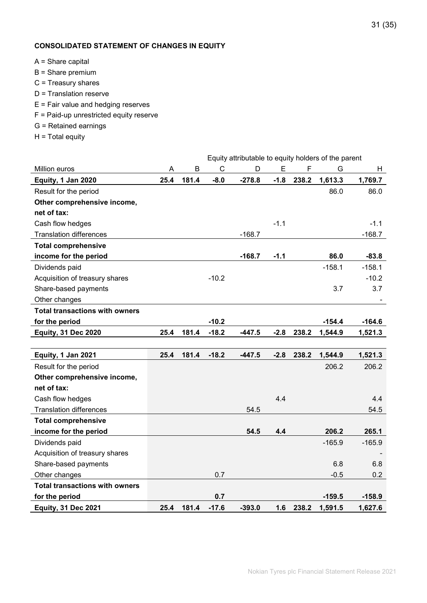# CONSOLIDATED STATEMENT OF CHANGES IN EQUITY

- A = Share capital
- B = Share premium
- C = Treasury shares
- D = Translation reserve
- E = Fair value and hedging reserves
- F = Paid-up unrestricted equity reserve
- G = Retained earnings
- H = Total equity

|                                       |      |       |              | Equity attributable to equity holders of the parent |        |       |          |                  |
|---------------------------------------|------|-------|--------------|-----------------------------------------------------|--------|-------|----------|------------------|
| Million euros                         | Α    | B     | $\mathsf{C}$ | D                                                   | E      | F     | G        | H                |
| Equity, 1 Jan 2020                    | 25.4 | 181.4 | $-8.0$       | $-278.8$                                            | $-1.8$ | 238.2 | 1,613.3  | 1,769.7          |
| Result for the period                 |      |       |              |                                                     |        |       | 86.0     | 86.0             |
| Other comprehensive income,           |      |       |              |                                                     |        |       |          |                  |
| net of tax:                           |      |       |              |                                                     |        |       |          |                  |
| Cash flow hedges                      |      |       |              |                                                     | $-1.1$ |       |          | $-1.1$           |
| <b>Translation differences</b>        |      |       |              | $-168.7$                                            |        |       |          | $-168.7$         |
| <b>Total comprehensive</b>            |      |       |              |                                                     |        |       |          |                  |
| income for the period                 |      |       |              | $-168.7$                                            | $-1.1$ |       | 86.0     | $-83.8$          |
| Dividends paid                        |      |       |              |                                                     |        |       | $-158.1$ | $-158.1$         |
| Acquisition of treasury shares        |      |       | $-10.2$      |                                                     |        |       |          | $-10.2$          |
| Share-based payments                  |      |       |              |                                                     |        |       | 3.7      | 3.7              |
| Other changes                         |      |       |              |                                                     |        |       |          |                  |
| <b>Total transactions with owners</b> |      |       |              |                                                     |        |       |          |                  |
| for the period                        |      |       | $-10.2$      |                                                     |        |       | $-154.4$ | $-164.6$         |
| <b>Equity, 31 Dec 2020</b>            | 25.4 | 181.4 | $-18.2$      | $-447.5$                                            | $-2.8$ | 238.2 | 1,544.9  | 1,521.3          |
|                                       |      |       |              |                                                     |        |       |          |                  |
| Equity, 1 Jan 2021                    | 25.4 | 181.4 | $-18.2$      | $-447.5$                                            | $-2.8$ | 238.2 | 1,544.9  | 1,521.3          |
| Result for the period                 |      |       |              |                                                     |        |       | 206.2    | 206.2            |
| Other comprehensive income,           |      |       |              |                                                     |        |       |          |                  |
| net of tax:                           |      |       |              |                                                     |        |       |          |                  |
| Cash flow hedges                      |      |       |              |                                                     | 4.4    |       |          | 4.4              |
| <b>Translation differences</b>        |      |       |              | 54.5                                                |        |       |          | 54.5             |
| <b>Total comprehensive</b>            |      |       |              |                                                     |        |       |          |                  |
| income for the period                 |      |       |              | 54.5                                                | 4.4    |       | 206.2    | 265.1            |
| Dividends paid                        |      |       |              |                                                     |        |       | $-165.9$ | $-165.9$         |
| Acquisition of treasury shares        |      |       |              |                                                     |        |       |          |                  |
| Share-based payments                  |      |       |              |                                                     |        |       | 6.8      | 6.8              |
| Other changes                         |      |       | 0.7          |                                                     |        |       | $-0.5$   | 0.2 <sub>0</sub> |
| <b>Total transactions with owners</b> |      |       |              |                                                     |        |       |          |                  |
| for the period                        |      |       | 0.7          |                                                     |        |       | $-159.5$ | $-158.9$         |
| <b>Equity, 31 Dec 2021</b>            | 25.4 | 181.4 | $-17.6$      | $-393.0$                                            | 1.6    | 238.2 | 1,591.5  | 1,627.6          |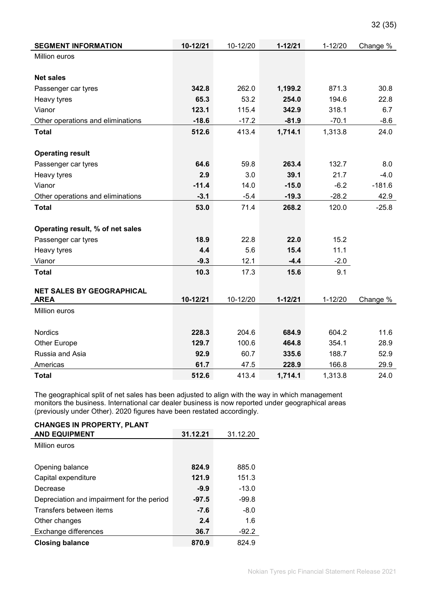| <b>SEGMENT INFORMATION</b>        | 10-12/21 | 10-12/20 | $1 - 12/21$ | $1 - 12/20$ | Change % |
|-----------------------------------|----------|----------|-------------|-------------|----------|
| Million euros                     |          |          |             |             |          |
|                                   |          |          |             |             |          |
| <b>Net sales</b>                  |          |          |             |             |          |
| Passenger car tyres               | 342.8    | 262.0    | 1,199.2     | 871.3       | 30.8     |
| Heavy tyres                       | 65.3     | 53.2     | 254.0       | 194.6       | 22.8     |
| Vianor                            | 123.1    | 115.4    | 342.9       | 318.1       | 6.7      |
| Other operations and eliminations | $-18.6$  | $-17.2$  | $-81.9$     | $-70.1$     | $-8.6$   |
| <b>Total</b>                      | 512.6    | 413.4    | 1,714.1     | 1,313.8     | 24.0     |
|                                   |          |          |             |             |          |
| <b>Operating result</b>           |          |          |             |             |          |
| Passenger car tyres               | 64.6     | 59.8     | 263.4       | 132.7       | 8.0      |
| Heavy tyres                       | 2.9      | 3.0      | 39.1        | 21.7        | $-4.0$   |
| Vianor                            | $-11.4$  | 14.0     | $-15.0$     | $-6.2$      | $-181.6$ |
| Other operations and eliminations | $-3.1$   | $-5.4$   | $-19.3$     | $-28.2$     | 42.9     |
| <b>Total</b>                      | 53.0     | 71.4     | 268.2       | 120.0       | $-25.8$  |
|                                   |          |          |             |             |          |
| Operating result, % of net sales  |          |          |             |             |          |
| Passenger car tyres               | 18.9     | 22.8     | 22.0        | 15.2        |          |
| Heavy tyres                       | 4.4      | 5.6      | 15.4        | 11.1        |          |
| Vianor                            | $-9.3$   | 12.1     | $-4.4$      | $-2.0$      |          |
| <b>Total</b>                      | 10.3     | 17.3     | 15.6        | 9.1         |          |
|                                   |          |          |             |             |          |
| <b>NET SALES BY GEOGRAPHICAL</b>  |          |          |             |             |          |
| <b>AREA</b>                       | 10-12/21 | 10-12/20 | $1 - 12/21$ | $1 - 12/20$ | Change % |
| Million euros                     |          |          |             |             |          |
|                                   |          |          |             |             |          |
| Nordics                           | 228.3    | 204.6    | 684.9       | 604.2       | 11.6     |
| Other Europe                      | 129.7    | 100.6    | 464.8       | 354.1       | 28.9     |
| Russia and Asia                   | 92.9     | 60.7     | 335.6       | 188.7       | 52.9     |
| Americas                          | 61.7     | 47.5     | 228.9       | 166.8       | 29.9     |
| <b>Total</b>                      | 512.6    | 413.4    | 1,714.1     | 1,313.8     | 24.0     |

The geographical split of net sales has been adjusted to align with the way in which management monitors the business. International car dealer business is now reported under geographical areas (previously under Other). 2020 figures have been restated accordingly.

| <b>CHANGES IN PROPERTY, PLANT</b>          |          |          |
|--------------------------------------------|----------|----------|
| <b>AND EQUIPMENT</b>                       | 31.12.21 | 31.12.20 |
| Million euros                              |          |          |
|                                            |          |          |
| Opening balance                            | 824.9    | 885.0    |
| Capital expenditure                        | 121.9    | 151.3    |
| Decrease                                   | $-9.9$   | $-13.0$  |
| Depreciation and impairment for the period | $-97.5$  | $-99.8$  |
| Transfers between items                    | $-7.6$   | $-8.0$   |
| Other changes                              | 2.4      | 1.6      |
| Exchange differences                       | 36.7     | $-92.2$  |
| <b>Closing balance</b>                     | 870.9    | 824.9    |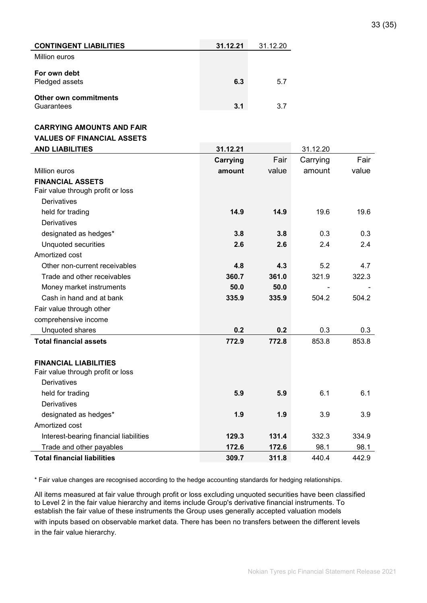| <b>CONTINGENT LIABILITIES</b>              | 31.12.21 | 31.12.20 |
|--------------------------------------------|----------|----------|
| Million euros                              |          |          |
| For own debt<br>Pledged assets             | 6.3      | 5.7      |
| <b>Other own commitments</b><br>Guarantees | 3.1      | 3.7      |

#### CARRYING AMOUNTS AND FAIR

#### VALUES OF FINANCIAL ASSETS

| <b>AND LIABILITIES</b>                 | 31.12.21 |       | 31.12.20 |       |
|----------------------------------------|----------|-------|----------|-------|
|                                        | Carrying | Fair  | Carrying | Fair  |
| Million euros                          | amount   | value | amount   | value |
| <b>FINANCIAL ASSETS</b>                |          |       |          |       |
| Fair value through profit or loss      |          |       |          |       |
| <b>Derivatives</b>                     |          |       |          |       |
| held for trading                       | 14.9     | 14.9  | 19.6     | 19.6  |
| Derivatives                            |          |       |          |       |
| designated as hedges*                  | 3.8      | 3.8   | 0.3      | 0.3   |
| <b>Unquoted securities</b>             | 2.6      | 2.6   | 2.4      | 2.4   |
| Amortized cost                         |          |       |          |       |
| Other non-current receivables          | 4.8      | 4.3   | 5.2      | 4.7   |
| Trade and other receivables            | 360.7    | 361.0 | 321.9    | 322.3 |
| Money market instruments               | 50.0     | 50.0  |          |       |
| Cash in hand and at bank               | 335.9    | 335.9 | 504.2    | 504.2 |
| Fair value through other               |          |       |          |       |
| comprehensive income                   |          |       |          |       |
| Unquoted shares                        | 0.2      | 0.2   | 0.3      | 0.3   |
| <b>Total financial assets</b>          | 772.9    | 772.8 | 853.8    | 853.8 |
|                                        |          |       |          |       |
| <b>FINANCIAL LIABILITIES</b>           |          |       |          |       |
| Fair value through profit or loss      |          |       |          |       |
| <b>Derivatives</b>                     |          |       |          |       |
| held for trading                       | 5.9      | 5.9   | 6.1      | 6.1   |
| Derivatives                            |          |       |          |       |
| designated as hedges*                  | 1.9      | 1.9   | 3.9      | 3.9   |
| Amortized cost                         |          |       |          |       |
| Interest-bearing financial liabilities | 129.3    | 131.4 | 332.3    | 334.9 |
| Trade and other payables               | 172.6    | 172.6 | 98.1     | 98.1  |
| <b>Total financial liabilities</b>     | 309.7    | 311.8 | 440.4    | 442.9 |

\* Fair value changes are recognised according to the hedge accounting standards for hedging relationships.

All items measured at fair value through profit or loss excluding unquoted securities have been classified to Level 2 in the fair value hierarchy and items include Group's derivative financial instruments. To establish the fair value of these instruments the Group uses generally accepted valuation models

with inputs based on observable market data. There has been no transfers between the different levels in the fair value hierarchy.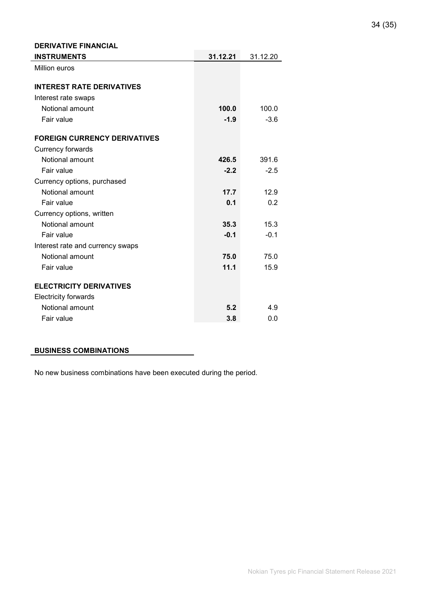| Million euros<br><b>INTEREST RATE DERIVATIVES</b><br>Interest rate swaps<br>Notional amount<br>100.0<br>100.0<br>Fair value<br>$-1.9$<br>$-3.6$ |
|-------------------------------------------------------------------------------------------------------------------------------------------------|
|                                                                                                                                                 |
|                                                                                                                                                 |
|                                                                                                                                                 |
|                                                                                                                                                 |
|                                                                                                                                                 |
|                                                                                                                                                 |
| <b>FOREIGN CURRENCY DERIVATIVES</b>                                                                                                             |
| Currency forwards                                                                                                                               |
| Notional amount<br>426.5<br>391.6                                                                                                               |
| Fair value<br>$-2.2$<br>$-2.5$                                                                                                                  |
| Currency options, purchased                                                                                                                     |
| Notional amount<br>17.7<br>12.9                                                                                                                 |
| Fair value<br>0.1<br>0.2                                                                                                                        |
| Currency options, written                                                                                                                       |
| Notional amount<br>15.3<br>35.3                                                                                                                 |
| Fair value<br>$-0.1$<br>$-0.1$                                                                                                                  |
| Interest rate and currency swaps                                                                                                                |
| Notional amount<br>75.0<br>75.0                                                                                                                 |
| 11.1<br>Fair value<br>15.9                                                                                                                      |
| <b>ELECTRICITY DERIVATIVES</b>                                                                                                                  |
| <b>Electricity forwards</b>                                                                                                                     |
| Notional amount<br>5.2<br>4.9                                                                                                                   |
| Fair value<br>3.8<br>0.0                                                                                                                        |

#### BUSINESS COMBINATIONS

DERIVATIVE FINANCIAL

No new business combinations have been executed during the period.